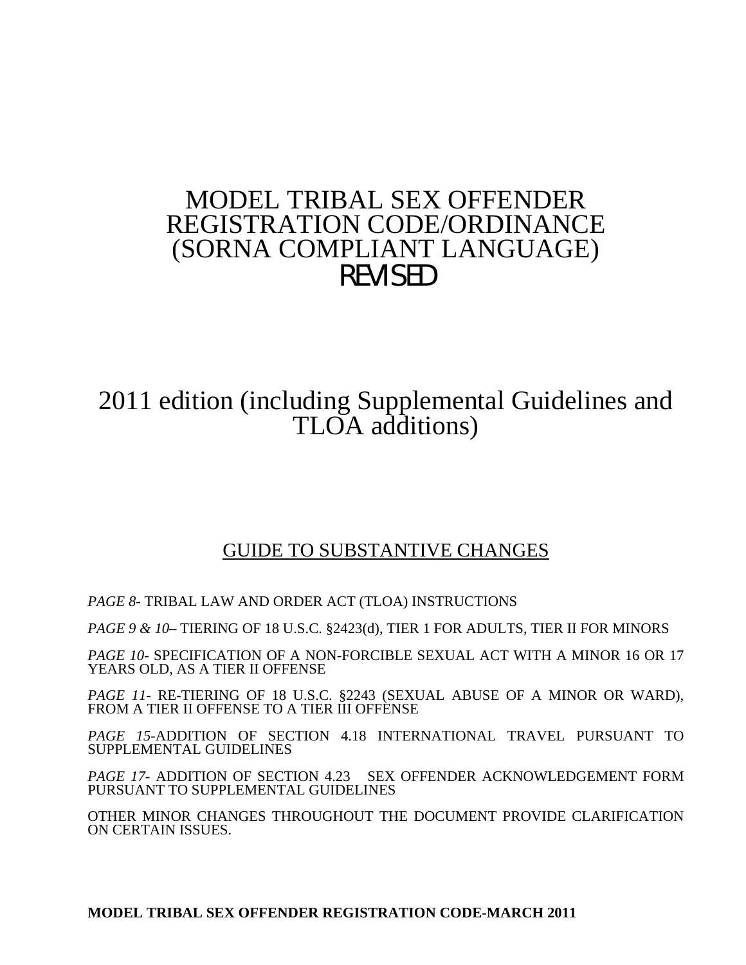# MODEL TRIBAL SEX OFFENDER REGISTRATION CODE/ORDINANCE (SORNA COMPLIANT LANGUAGE) REVISED

2011 edition (including Supplemental Guidelines and TLOA additions)

## GUIDE TO SUBSTANTIVE CHANGES

*PAGE 8*- TRIBAL LAW AND ORDER ACT (TLOA) INSTRUCTIONS

*PAGE 9 & 10*– TIERING OF 18 U.S.C. §2423(d), TIER 1 FOR ADULTS, TIER II FOR MINORS

*PAGE 10*- SPECIFICATION OF A NON-FORCIBLE SEXUAL ACT WITH A MINOR 16 OR 17 YEARS OLD, AS A TIER II OFFENSE

*PAGE 11*- RE-TIERING OF 18 U.S.C. §2243 (SEXUAL ABUSE OF A MINOR OR WARD), FROM A TIER II OFFENSE TO A TIER III OFFENSE

*PAGE 15*-ADDITION OF SECTION 4.18 INTERNATIONAL TRAVEL PURSUANT TO SUPPLEMENTAL GUIDELINES

*PAGE 17*- ADDITION OF SECTION 4.23 SEX OFFENDER ACKNOWLEDGEMENT FORM PURSUANT TO SUPPLEMENTAL GUIDELINES

OTHER MINOR CHANGES THROUGHOUT THE DOCUMENT PROVIDE CLARIFICATION ON CERTAIN ISSUES.

**MODEL TRIBAL SEX OFFENDER REGISTRATION CODE-MARCH 2011**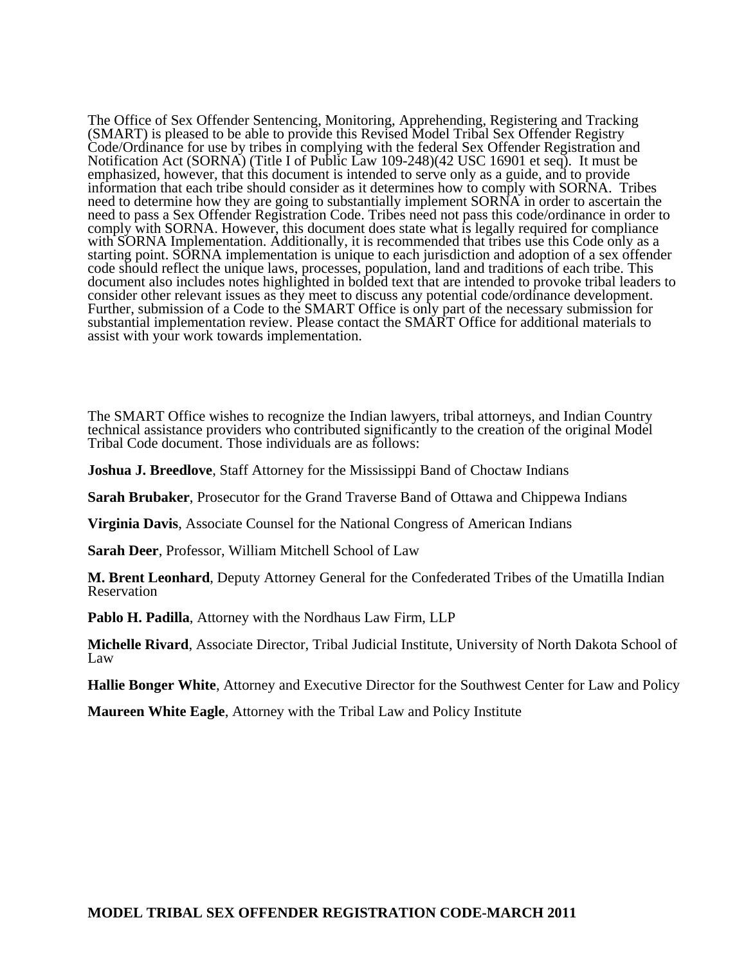The Office of Sex Offender Sentencing, Monitoring, Apprehending, Registering and Tracking (SMART) is pleased to be able to provide this Revised Model Tribal Sex Offender Registry Code/Ordinance for use by tribes in complying with the federal Sex Offender Registration and Notification Act (SORNA) (Title I of Public Law 109-248)(42 USC 16901 et seq). It must be emphasized, however, that this document is intended to serve only as a guide, and to provide information that each tribe should consider as it determines how to comply with SORNA. Tribes need to determine how they are going to substantially implement SORNA in order to ascertain the need to pass a Sex Offender Registration Code. Tribes need not pass this code/ordinance in order to comply with SORNA. However, this document does state what is legally required for compliance with SORNA Implementation. Additionally, it is recommended that tribes use this Code only as a starting point. SORNA implementation is unique to each jurisdiction and adoption of a sex offender code should reflect the unique laws, processes, population, land and traditions of each tribe. This document also includes notes highlighted in bolded text that are intended to provoke tribal leaders to consider other relevant issues as they meet to discuss any potential code/ordinance development. Further, submission of a Code to the SMART Office is only part of the necessary submission for substantial implementation review. Please contact the SMART Office for additional materials to assist with your work towards implementation.

The SMART Office wishes to recognize the Indian lawyers, tribal attorneys, and Indian Country technical assistance providers who contributed significantly to the creation of the original Model Tribal Code document. Those individuals are as follows:

**Joshua J. Breedlove**, Staff Attorney for the Mississippi Band of Choctaw Indians

**Sarah Brubaker**, Prosecutor for the Grand Traverse Band of Ottawa and Chippewa Indians

**Virginia Davis**, Associate Counsel for the National Congress of American Indians

**Sarah Deer**, Professor, William Mitchell School of Law

**M. Brent Leonhard**, Deputy Attorney General for the Confederated Tribes of the Umatilla Indian Reservation

**Pablo H. Padilla**, Attorney with the Nordhaus Law Firm, LLP

**Michelle Rivard**, Associate Director, Tribal Judicial Institute, University of North Dakota School of Law

**Hallie Bonger White**, Attorney and Executive Director for the Southwest Center for Law and Policy

**Maureen White Eagle**, Attorney with the Tribal Law and Policy Institute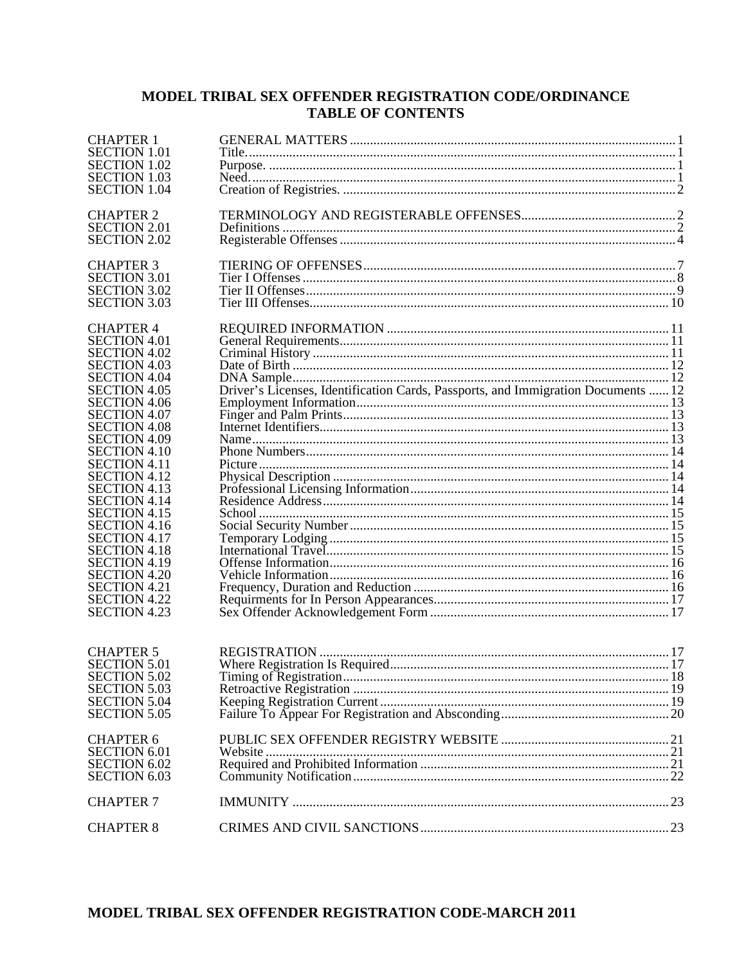## MODEL TRIBAL SEX OFFENDER REGISTRATION CODE/ORDINANCE **TABLE OF CONTENTS**

| <b>CHAPTER 1</b><br><b>SECTION 1.01</b><br><b>SECTION 1.02</b>    |                                                                                   |  |
|-------------------------------------------------------------------|-----------------------------------------------------------------------------------|--|
| <b>SECTION 1.03</b><br><b>SECTION 1.04</b>                        |                                                                                   |  |
| <b>CHAPTER 2</b>                                                  |                                                                                   |  |
| <b>SECTION 2.01</b><br><b>SECTION 2.02</b>                        |                                                                                   |  |
| <b>CHAPTER 3</b>                                                  |                                                                                   |  |
| <b>SECTION 3.01</b><br><b>SECTION 3.02</b><br><b>SECTION 3.03</b> |                                                                                   |  |
| <b>CHAPTER 4</b>                                                  |                                                                                   |  |
| <b>SECTION 4.01</b><br><b>SECTION 4.02</b>                        |                                                                                   |  |
| <b>SECTION 4.03</b><br><b>SECTION 4.04</b>                        |                                                                                   |  |
| <b>SECTION 4.05</b><br><b>SECTION 4.06</b><br><b>SECTION 4.07</b> | Driver's Licenses, Identification Cards, Passports, and Immigration Documents  12 |  |
| <b>SECTION 4.08</b><br><b>SECTION 4.09</b>                        |                                                                                   |  |
| <b>SECTION 4.10</b><br><b>SECTION 4.11</b>                        |                                                                                   |  |
| <b>SECTION 4.12</b><br><b>SECTION 4.13</b>                        |                                                                                   |  |
| <b>SECTION 4.14</b><br><b>SECTION 4.15</b><br><b>SECTION 4.16</b> |                                                                                   |  |
| <b>SECTION 4.17</b><br><b>SECTION 4.18</b>                        |                                                                                   |  |
| <b>SECTION 4.19</b><br><b>SECTION 4.20</b>                        |                                                                                   |  |
| <b>SECTION 4.21</b><br><b>SECTION 4.22</b><br><b>SECTION 4.23</b> |                                                                                   |  |
|                                                                   |                                                                                   |  |
| <b>CHAPTER 5</b><br><b>SECTION 5.01</b>                           |                                                                                   |  |
| <b>SECTION 5.02</b><br><b>SECTION 5.03</b>                        |                                                                                   |  |
| <b>SECTION 5.04</b><br><b>SECTION 5.05</b>                        |                                                                                   |  |
| <b>CHAPTER 6</b><br><b>SECTION 6.01</b>                           |                                                                                   |  |
| <b>SECTION 6.02</b><br><b>SECTION 6.03</b>                        |                                                                                   |  |
| <b>CHAPTER 7</b>                                                  |                                                                                   |  |
| <b>CHAPTER 8</b>                                                  |                                                                                   |  |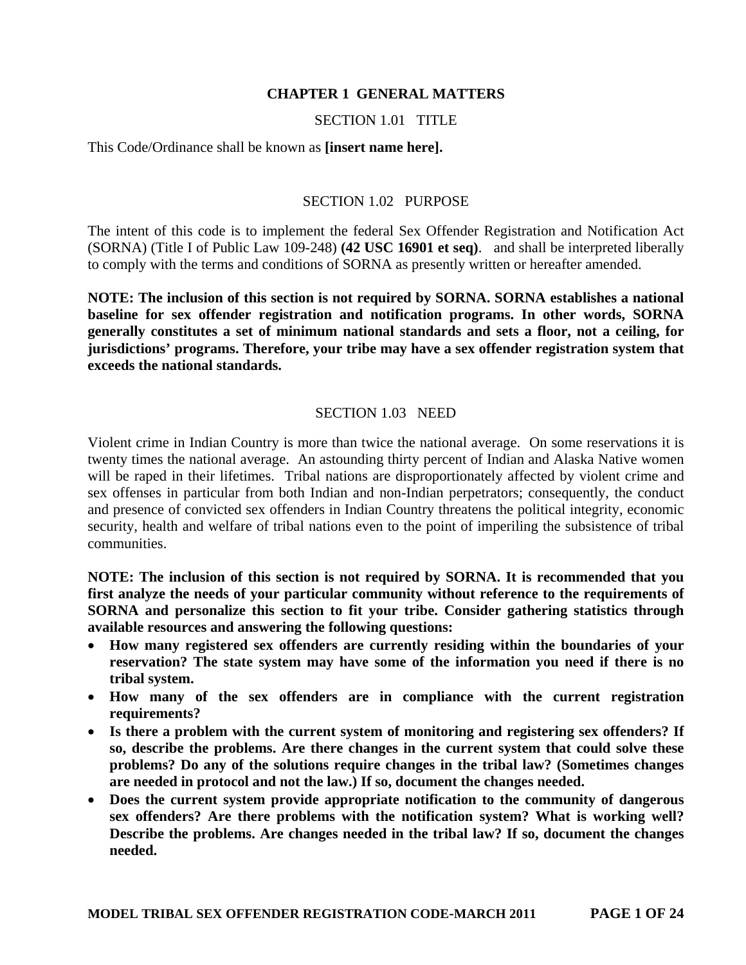## **CHAPTER 1 GENERAL MATTERS**

## SECTION 1.01 TITLE

This Code/Ordinance shall be known as **[insert name here].** 

## SECTION 1.02 PURPOSE

The intent of this code is to implement the federal Sex Offender Registration and Notification Act (SORNA) (Title I of Public Law 109-248) **(42 USC 16901 et seq)**. and shall be interpreted liberally to comply with the terms and conditions of SORNA as presently written or hereafter amended.

**NOTE: The inclusion of this section is not required by SORNA. SORNA establishes a national baseline for sex offender registration and notification programs. In other words, SORNA generally constitutes a set of minimum national standards and sets a floor, not a ceiling, for jurisdictions' programs. Therefore, your tribe may have a sex offender registration system that exceeds the national standards.** 

## SECTION 1.03 NEED

Violent crime in Indian Country is more than twice the national average. On some reservations it is twenty times the national average. An astounding thirty percent of Indian and Alaska Native women will be raped in their lifetimes. Tribal nations are disproportionately affected by violent crime and sex offenses in particular from both Indian and non-Indian perpetrators; consequently, the conduct and presence of convicted sex offenders in Indian Country threatens the political integrity, economic security, health and welfare of tribal nations even to the point of imperiling the subsistence of tribal communities.

**NOTE: The inclusion of this section is not required by SORNA. It is recommended that you first analyze the needs of your particular community without reference to the requirements of SORNA and personalize this section to fit your tribe. Consider gathering statistics through available resources and answering the following questions:** 

- **How many registered sex offenders are currently residing within the boundaries of your reservation? The state system may have some of the information you need if there is no tribal system.**
- **How many of the sex offenders are in compliance with the current registration requirements?**
- **Is there a problem with the current system of monitoring and registering sex offenders? If so, describe the problems. Are there changes in the current system that could solve these problems? Do any of the solutions require changes in the tribal law? (Sometimes changes are needed in protocol and not the law.) If so, document the changes needed.**
- **Does the current system provide appropriate notification to the community of dangerous sex offenders? Are there problems with the notification system? What is working well? Describe the problems. Are changes needed in the tribal law? If so, document the changes needed.**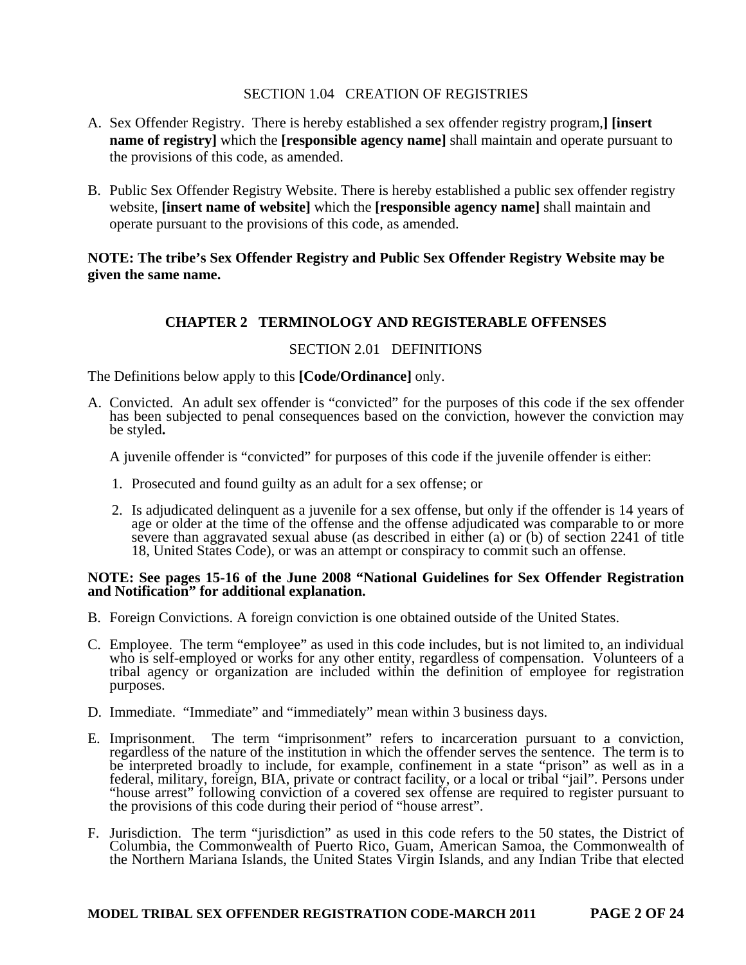## SECTION 1.04 CREATION OF REGISTRIES

- A. Sex Offender Registry. There is hereby established a sex offender registry program,**] [insert name of registry]** which the **[responsible agency name]** shall maintain and operate pursuant to the provisions of this code, as amended.
- B. Public Sex Offender Registry Website. There is hereby established a public sex offender registry website, **[insert name of website]** which the **[responsible agency name]** shall maintain and operate pursuant to the provisions of this code, as amended.

## **NOTE: The tribe's Sex Offender Registry and Public Sex Offender Registry Website may be given the same name.**

## **CHAPTER 2 TERMINOLOGY AND REGISTERABLE OFFENSES**

## SECTION 2.01 DEFINITIONS

The Definitions below apply to this **[Code/Ordinance]** only.

A. Convicted. An adult sex offender is "convicted" for the purposes of this code if the sex offender has been subjected to penal consequences based on the conviction, however the conviction may be styled**.** 

A juvenile offender is "convicted" for purposes of this code if the juvenile offender is either:

- 1. Prosecuted and found guilty as an adult for a sex offense; or
- 2. Is adjudicated delinquent as a juvenile for a sex offense, but only if the offender is 14 years of age or older at the time of the offense and the offense adjudicated was comparable to or more severe than aggravated sexual abuse (as described in either (a) or (b) of section 2241 of title 18, United States Code), or was an attempt or conspiracy to commit such an offense.

#### **NOTE: See pages 15-16 of the June 2008 "National Guidelines for Sex Offender Registration and Notification" for additional explanation.**

- B. Foreign Convictions. A foreign conviction is one obtained outside of the United States.
- C. Employee. The term "employee" as used in this code includes, but is not limited to, an individual who is self-employed or works for any other entity, regardless of compensation. Volunteers of a tribal agency or organization are included within the definition of employee for registration purposes.
- D. Immediate. "Immediate" and "immediately" mean within 3 business days.
- E. Imprisonment. The term "imprisonment" refers to incarceration pursuant to a conviction, regardless of the nature of the institution in which the offender serves the sentence. The term is to be interpreted broadly to include, for example, confinement in a state "prison" as well as in a federal, military, foreign, BIA, private or contract facility, or a local or tribal "jail". Persons under "house arrest" following conviction of a covered sex offense are required to register pursuant to the provisions of this code during their period of "house arrest".
- F. Jurisdiction. The term "jurisdiction" as used in this code refers to the 50 states, the District of Columbia, the Commonwealth of Puerto Rico, Guam, American Samoa, the Commonwealth of the Northern Mariana Islands, the United States Virgin Islands, and any Indian Tribe that elected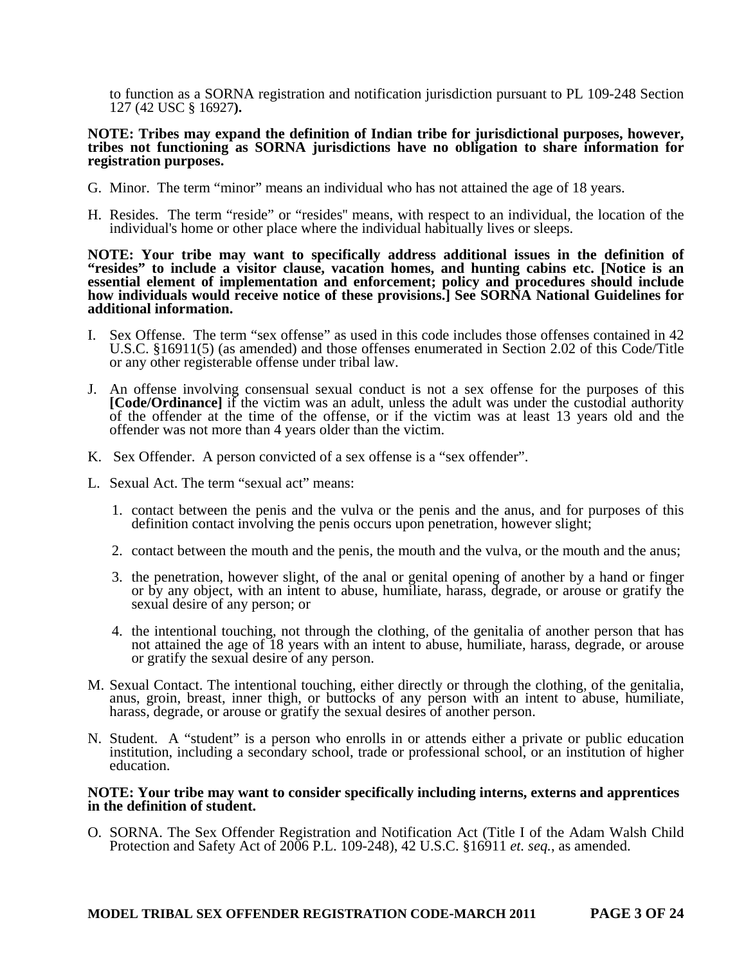to function as a SORNA registration and notification jurisdiction pursuant to PL 109-248 Section 127 (42 USC § 16927**).** 

#### **NOTE: Tribes may expand the definition of Indian tribe for jurisdictional purposes, however, tribes not functioning as SORNA jurisdictions have no obligation to share information for registration purposes.**

- G. Minor. The term "minor" means an individual who has not attained the age of 18 years.
- H. Resides. The term "reside" or "resides'' means, with respect to an individual, the location of the individual's home or other place where the individual habitually lives or sleeps.

**NOTE: Your tribe may want to specifically address additional issues in the definition of "resides" to include a visitor clause, vacation homes, and hunting cabins etc. [Notice is an essential element of implementation and enforcement; policy and procedures should include how individuals would receive notice of these provisions.] See SORNA National Guidelines for additional information.**

- I. Sex Offense. The term "sex offense" as used in this code includes those offenses contained in 42 U.S.C. §16911(5) (as amended) and those offenses enumerated in Section 2.02 of this Code/Title or any other registerable offense under tribal law.
- J. An offense involving consensual sexual conduct is not a sex offense for the purposes of this **[Code/Ordinance]** if the victim was an adult, unless the adult was under the custodial authority of the offender at the time of the offense, or if the victim was at least 13 years old and the offender was not more than 4 years older than the victim.
- K. Sex Offender. A person convicted of a sex offense is a "sex offender".
- L. Sexual Act. The term "sexual act" means:
	- 1. contact between the penis and the vulva or the penis and the anus, and for purposes of this definition contact involving the penis occurs upon penetration, however slight;
	- 2. contact between the mouth and the penis, the mouth and the vulva, or the mouth and the anus;
	- 3. the penetration, however slight, of the anal or genital opening of another by a hand or finger or by any object, with an intent to abuse, humiliate, harass, degrade, or arouse or gratify the sexual desire of any person; or
	- 4. the intentional touching, not through the clothing, of the genitalia of another person that has not attained the age of 18 years with an intent to abuse, humiliate, harass, degrade, or arouse or gratify the sexual desire of any person.
- M. Sexual Contact. The intentional touching, either directly or through the clothing, of the genitalia, anus, groin, breast, inner thigh, or buttocks of any person with an intent to abuse, humiliate, harass, degrade, or arouse or gratify the sexual desires of another person.
- N. Student. A "student" is a person who enrolls in or attends either a private or public education institution, including a secondary school, trade or professional school, or an institution of higher education.

#### **NOTE: Your tribe may want to consider specifically including interns, externs and apprentices in the definition of student.**

O. SORNA. The Sex Offender Registration and Notification Act (Title I of the Adam Walsh Child Protection and Safety Act of 2006 P.L. 109-248), 42 U.S.C. §16911 *et. seq.*, as amended.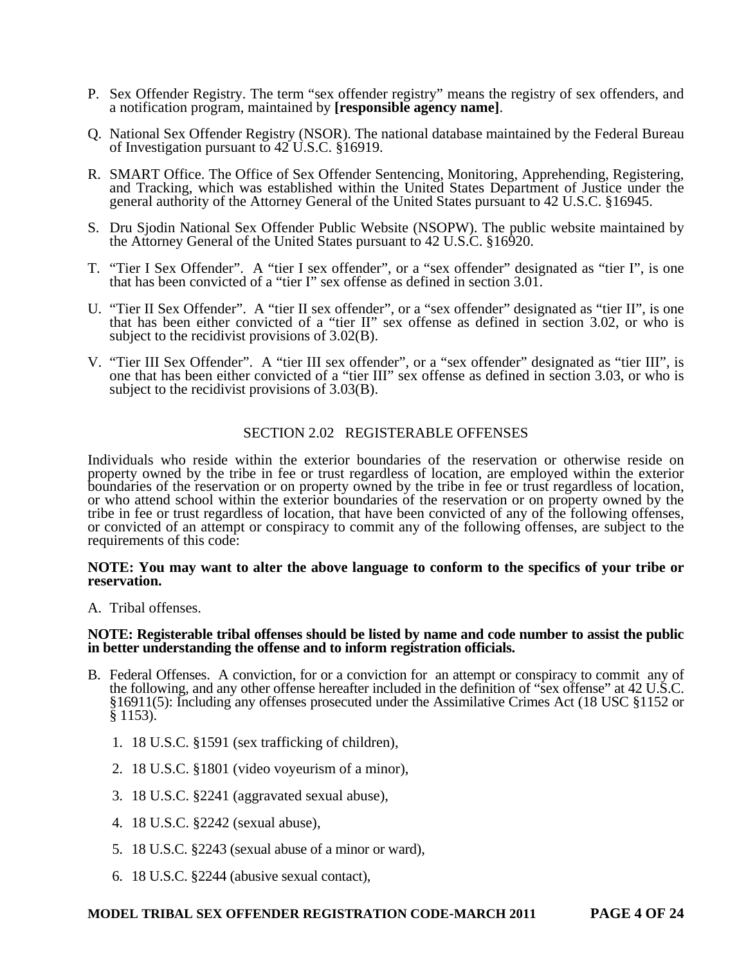- P. Sex Offender Registry. The term "sex offender registry" means the registry of sex offenders, and a notification program, maintained by **[responsible agency name]**.
- Q. National Sex Offender Registry (NSOR). The national database maintained by the Federal Bureau of Investigation pursuant to 42 U.S.C. §16919.
- R. SMART Office. The Office of Sex Offender Sentencing, Monitoring, Apprehending, Registering, and Tracking, which was established within the United States Department of Justice under the general authority of the Attorney General of the United States pursuant to 42 U.S.C. §16945.
- S. Dru Sjodin National Sex Offender Public Website (NSOPW). The public website maintained by the Attorney General of the United States pursuant to 42 U.S.C. §16920.
- T. "Tier I Sex Offender". A "tier I sex offender", or a "sex offender" designated as "tier I", is one that has been convicted of a "tier I" sex offense as defined in section 3.01.
- U. "Tier II Sex Offender". A "tier II sex offender", or a "sex offender" designated as "tier II", is one that has been either convicted of a "tier II" sex offense as defined in section 3.02, or who is subject to the recidivist provisions of 3.02(B).
- V. "Tier III Sex Offender". A "tier III sex offender", or a "sex offender" designated as "tier III", is one that has been either convicted of a "tier III" sex offense as defined in section 3.03, or who is subject to the recidivist provisions of 3.03(B).

## SECTION 2.02 REGISTERABLE OFFENSES

Individuals who reside within the exterior boundaries of the reservation or otherwise reside on property owned by the tribe in fee or trust regardless of location, are employed within the exterior boundaries of the reservation or on property owned by the tribe in fee or trust regardless of location, or who attend school within the exterior boundaries of the reservation or on property owned by the tribe in fee or trust regardless of location, that have been convicted of any of the following offenses, or convicted of an attempt or conspiracy to commit any of the following offenses, are subject to the requirements of this code:

#### **NOTE: You may want to alter the above language to conform to the specifics of your tribe or reservation.**

A. Tribal offenses.

#### **NOTE: Registerable tribal offenses should be listed by name and code number to assist the public in better understanding the offense and to inform registration officials.**

- B. Federal Offenses. A conviction, for or a conviction for an attempt or conspiracy to commit any of Tederal Orienses. A conviction, for or a conviction for an attempt of conspiracy to commit any che-<br>the following, and any other offense hereafter included in the definition of "sex offense" at 42 U.S.C. §16911(5): Including any offenses prosecuted under the Assimilative Crimes Act (18 USC §1152 or § 1153).
	- 1. 18 U.S.C. §1591 (sex trafficking of children),
	- 2. 18 U.S.C. §1801 (video voyeurism of a minor),
	- 3. 18 U.S.C. §2241 (aggravated sexual abuse),
	- 4. 18 U.S.C. §2242 (sexual abuse),
	- 5. 18 U.S.C. §2243 (sexual abuse of a minor or ward),
	- 6. 18 U.S.C. §2244 (abusive sexual contact),

#### **MODEL TRIBAL SEX OFFENDER REGISTRATION CODE-MARCH 2011 PAGE 4 OF 24**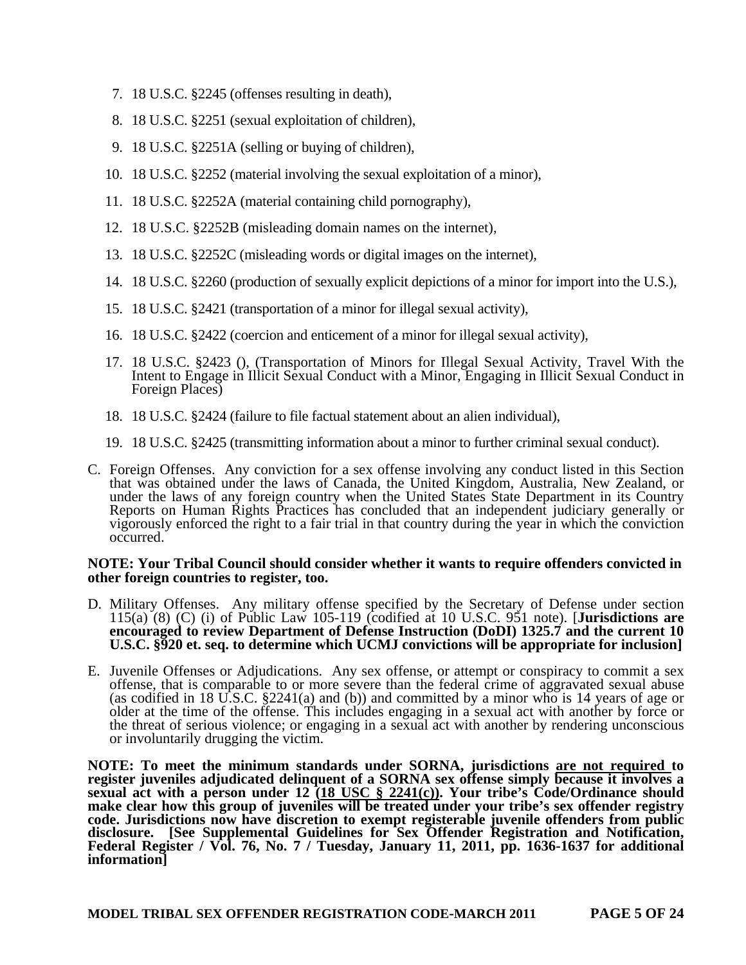- 7. 18 U.S.C. §2245 (offenses resulting in death),
- 8. 18 U.S.C. §2251 (sexual exploitation of children),
- 9. 18 U.S.C. §2251A (selling or buying of children),
- 10. 18 U.S.C. §2252 (material involving the sexual exploitation of a minor),
- 11. 18 U.S.C. §2252A (material containing child pornography),
- 12. 18 U.S.C. §2252B (misleading domain names on the internet),
- 13. 18 U.S.C. §2252C (misleading words or digital images on the internet),
- 14. 18 U.S.C. §2260 (production of sexually explicit depictions of a minor for import into the U.S.),
- 15. 18 U.S.C. §2421 (transportation of a minor for illegal sexual activity),
- 16. 18 U.S.C. §2422 (coercion and enticement of a minor for illegal sexual activity),
- 17. 18 U.S.C. §2423 (), (Transportation of Minors for Illegal Sexual Activity, Travel With the Intent to Engage in Illicit Sexual Conduct with a Minor, Engaging in Illicit Sexual Conduct in Foreign Places)
- 18. 18 U.S.C. §2424 (failure to file factual statement about an alien individual),
- 19. 18 U.S.C. §2425 (transmitting information about a minor to further criminal sexual conduct).
- C. Foreign Offenses. Any conviction for a sex offense involving any conduct listed in this Section that was obtained under the laws of Canada, the United Kingdom, Australia, New Zealand, or under the laws of any foreign country when the United States State Department in its Country Reports on Human Rights Practices has concluded that an independent judiciary generally or vigorously enforced the right to a fair trial in that country during the year in which the conviction occurred.

#### **NOTE: Your Tribal Council should consider whether it wants to require offenders convicted in other foreign countries to register, too.**

- D. Military Offenses. Any military offense specified by the Secretary of Defense under section 115(a) (8) (C) (i) of Public Law 105-119 (codified at 10 U.S.C. 951 note). [**Jurisdictions are encouraged to review Department of Defense Instruction (DoDI) 1325.7 and the current 10 U.S.C. §920 et. seq. to determine which UCMJ convictions will be appropriate for inclusion]**
- E. Juvenile Offenses or Adjudications. Any sex offense, or attempt or conspiracy to commit a sex offense, that is comparable to or more severe than the federal crime of aggravated sexual abuse (as codified in 18 U.S.C. §2241(a) and (b)) and committed by a minor who is 14 years of age or older at the time of the offense. This includes engaging in a sexual act with another by force or the threat of serious violence; or engaging in a sexual act with another by rendering unconscious or involuntarily drugging the victim.

**NOTE: To meet the minimum standards under SORNA, jurisdictions are not required to register juveniles adjudicated delinquent of a SORNA sex offense simply because it involves a sexual act with a person under 12 (18 USC § 2241(c)). Your tribe's Code/Ordinance should make clear how this group of juveniles will be treated under your tribe's sex offender registry code. Jurisdictions now have discretion to exempt registerable juvenile offenders from public disclosure. [See Supplemental Guidelines for Sex Offender Registration and Notification, Federal Register / Vol. 76, No. 7 / Tuesday, January 11, 2011, pp. 1636-1637 for additional information]**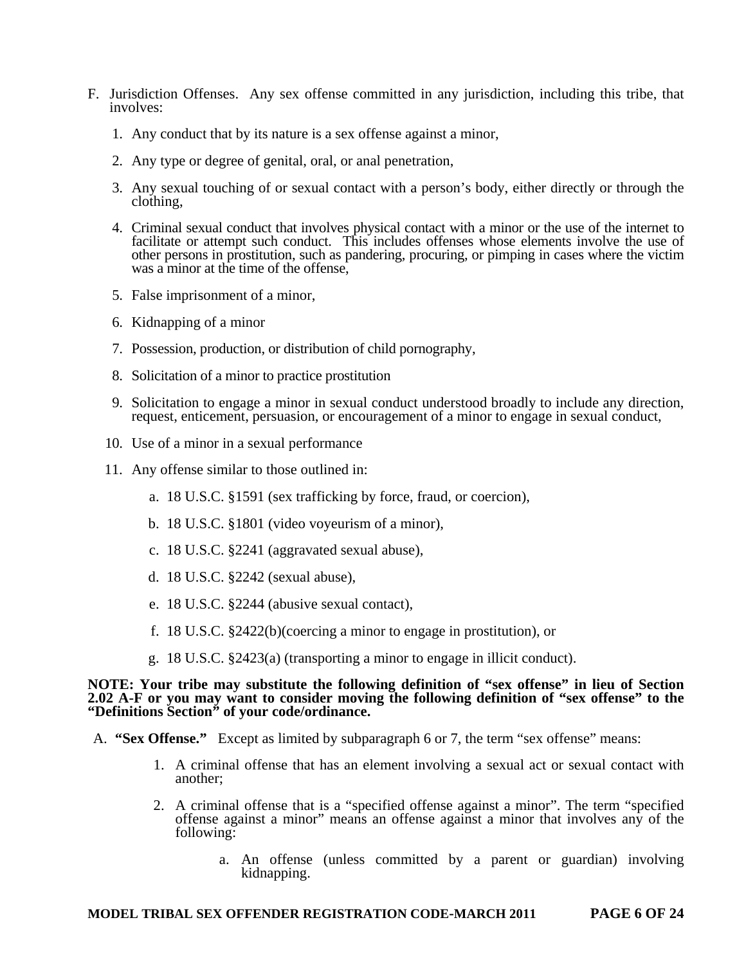- F. Jurisdiction Offenses. Any sex offense committed in any jurisdiction, including this tribe, that involves:
	- 1. Any conduct that by its nature is a sex offense against a minor,
	- 2. Any type or degree of genital, oral, or anal penetration,
	- 3. Any sexual touching of or sexual contact with a person's body, either directly or through the clothing,
	- 4. Criminal sexual conduct that involves physical contact with a minor or the use of the internet to facilitate or attempt such conduct. This includes offenses whose elements involve the use of other persons in prostitution, such as pandering, procuring, or pimping in cases where the victim was a minor at the time of the offense,
	- 5. False imprisonment of a minor,
	- 6. Kidnapping of a minor
	- 7. Possession, production, or distribution of child pornography,
	- 8. Solicitation of a minor to practice prostitution
	- 9. Solicitation to engage a minor in sexual conduct understood broadly to include any direction, request, enticement, persuasion, or encouragement of a minor to engage in sexual conduct,
	- 10. Use of a minor in a sexual performance
	- 11. Any offense similar to those outlined in:
		- a. 18 U.S.C. §1591 (sex trafficking by force, fraud, or coercion),
		- b. 18 U.S.C. §1801 (video voyeurism of a minor),
		- c. 18 U.S.C. §2241 (aggravated sexual abuse),
		- d. 18 U.S.C. §2242 (sexual abuse),
		- e. 18 U.S.C. §2244 (abusive sexual contact),
		- f. 18 U.S.C. §2422(b)(coercing a minor to engage in prostitution), or
		- g. 18 U.S.C. §2423(a) (transporting a minor to engage in illicit conduct).

#### **NOTE: Your tribe may substitute the following definition of "sex offense" in lieu of Section 2.02 A-F or you may want to consider moving the following definition of "sex offense" to the "Definitions Section" of your code/ordinance.**

A. **"Sex Offense."** Except as limited by subparagraph 6 or 7, the term "sex offense" means:

- 1. A criminal offense that has an element involving a sexual act or sexual contact with another;
- 2. A criminal offense that is a "specified offense against a minor". The term "specified offense against a minor" means an offense against a minor that involves any of the following:
	- a. An offense (unless committed by a parent or guardian) involving kidnapping.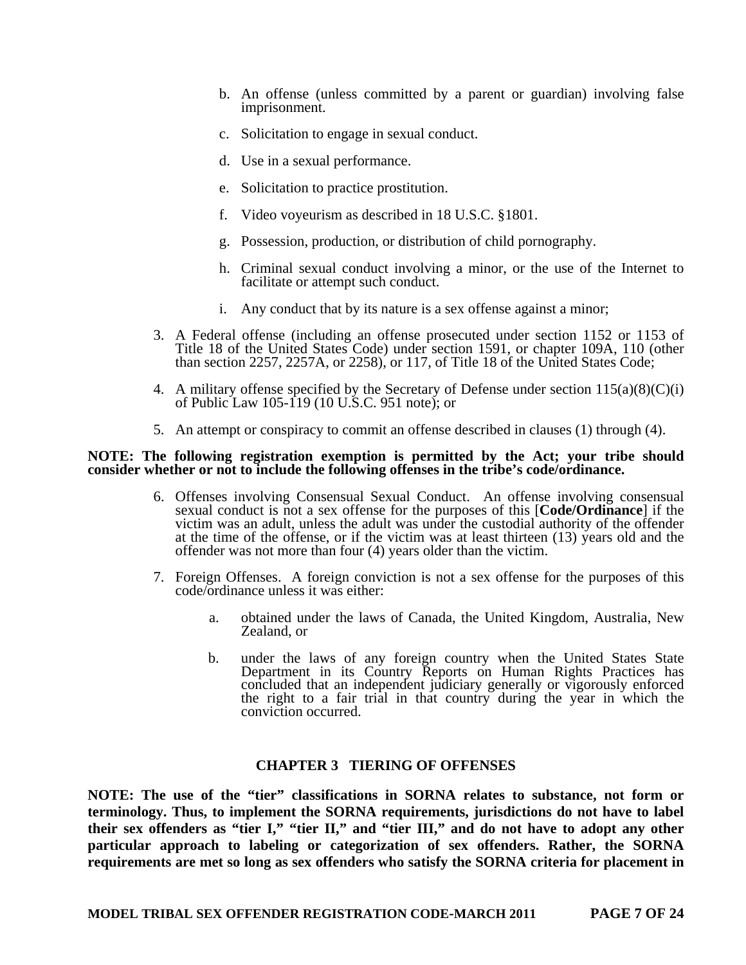- b. An offense (unless committed by a parent or guardian) involving false imprisonment.
- c. Solicitation to engage in sexual conduct.
- d. Use in a sexual performance.
- e. Solicitation to practice prostitution.
- f. Video voyeurism as described in 18 U.S.C. §1801.
- g. Possession, production, or distribution of child pornography.
- h. Criminal sexual conduct involving a minor, or the use of the Internet to facilitate or attempt such conduct.
- i. Any conduct that by its nature is a sex offense against a minor;
- 3. A Federal offense (including an offense prosecuted under section 1152 or 1153 of Title 18 of the United States Code) under section 1591, or chapter 109A, 110 (other than section 2257, 2257A, or 2258), or 117, of Title 18 of the United States Code;
- 4. A military offense specified by the Secretary of Defense under section  $115(a)(8)(C(i))$ of Public Law 105-119 (10 U.S.C. 951 note); or
- 5. An attempt or conspiracy to commit an offense described in clauses (1) through (4).

#### **NOTE: The following registration exemption is permitted by the Act; your tribe should consider whether or not to include the following offenses in the tribe's code/ordinance.**

- 6. Offenses involving Consensual Sexual Conduct. An offense involving consensual sexual conduct is not a sex offense for the purposes of this [**Code/Ordinance**] if the victim was an adult, unless the adult was under the custodial authority of the offender at the time of the offense, or if the victim was at least thirteen (13) years old and the offender was not more than four (4) years older than the victim.
- 7. Foreign Offenses. A foreign conviction is not a sex offense for the purposes of this code/ordinance unless it was either:
	- a. obtained under the laws of Canada, the United Kingdom, Australia, New Zealand, or
	- b. under the laws of any foreign country when the United States State Department in its Country Reports on Human Rights Practices has concluded that an independent judiciary generally or vigorously enforced the right to a fair trial in that country during the year in which the conviction occurred.

#### **CHAPTER 3 TIERING OF OFFENSES**

**NOTE: The use of the "tier" classifications in SORNA relates to substance, not form or terminology. Thus, to implement the SORNA requirements, jurisdictions do not have to label**  their sex offenders as "tier I," "tier II," and "tier III," and do not have to adopt any other **particular approach to labeling or categorization of sex offenders. Rather, the SORNA requirements are met so long as sex offenders who satisfy the SORNA criteria for placement in**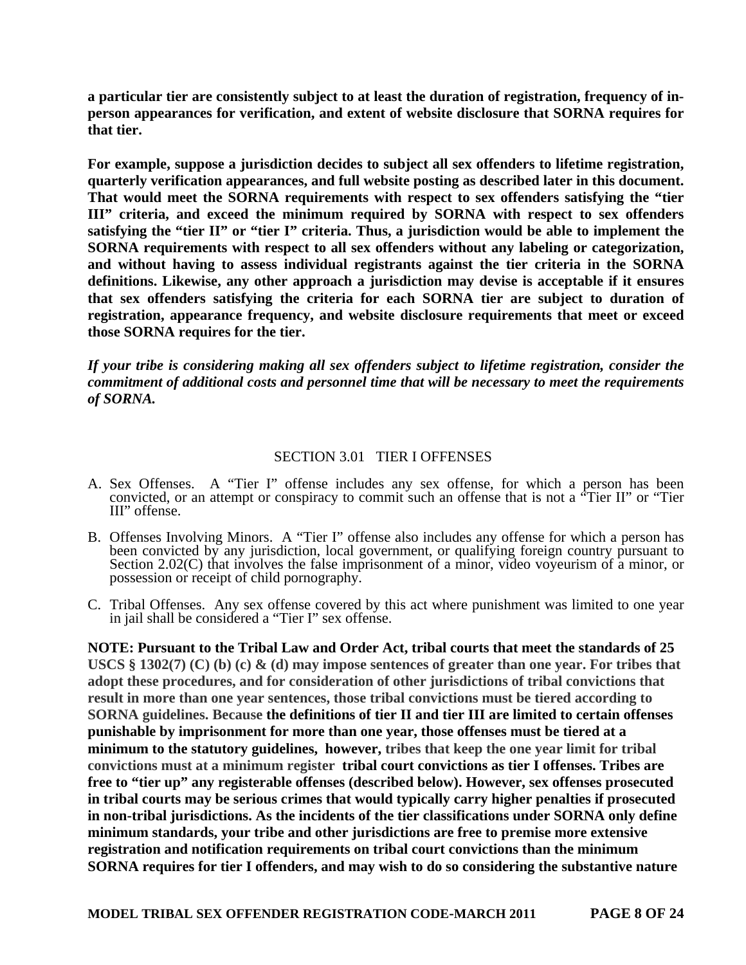**a particular tier are consistently subject to at least the duration of registration, frequency of inperson appearances for verification, and extent of website disclosure that SORNA requires for that tier.** 

**For example, suppose a jurisdiction decides to subject all sex offenders to lifetime registration, quarterly verification appearances, and full website posting as described later in this document. That would meet the SORNA requirements with respect to sex offenders satisfying the "tier III" criteria, and exceed the minimum required by SORNA with respect to sex offenders satisfying the "tier II" or "tier I" criteria. Thus, a jurisdiction would be able to implement the SORNA requirements with respect to all sex offenders without any labeling or categorization, and without having to assess individual registrants against the tier criteria in the SORNA definitions. Likewise, any other approach a jurisdiction may devise is acceptable if it ensures that sex offenders satisfying the criteria for each SORNA tier are subject to duration of registration, appearance frequency, and website disclosure requirements that meet or exceed those SORNA requires for the tier.** 

*If your tribe is considering making all sex offenders subject to lifetime registration, consider the commitment of additional costs and personnel time that will be necessary to meet the requirements of SORNA.* 

## SECTION 3.01 TIER I OFFENSES

- A. Sex Offenses. A "Tier I" offense includes any sex offense, for which a person has been convicted, or an attempt or conspiracy to commit such an offense that is not a "Tier II" or "Tier III" offense.
- B. Offenses Involving Minors. A "Tier I" offense also includes any offense for which a person has been convicted by any jurisdiction, local government, or qualifying foreign country pursuant to Section 2.02(C) that involves the false imprisonment of a minor, video voyeurism of a minor, or possession or receipt of child pornography.
- C. Tribal Offenses. Any sex offense covered by this act where punishment was limited to one year in jail shall be considered a "Tier I" sex offense.

**NOTE: Pursuant to the Tribal Law and Order Act, tribal courts that meet the standards of 25 USCS § 1302(7) (C) (b) (c) & (d) may impose sentences of greater than one year. For tribes that adopt these procedures, and for consideration of other jurisdictions of tribal convictions that result in more than one year sentences, those tribal convictions must be tiered according to SORNA guidelines. Because the definitions of tier II and tier III are limited to certain offenses punishable by imprisonment for more than one year, those offenses must be tiered at a minimum to the statutory guidelines, however, tribes that keep the one year limit for tribal convictions must at a minimum register tribal court convictions as tier I offenses. Tribes are free to "tier up" any registerable offenses (described below). However, sex offenses prosecuted in tribal courts may be serious crimes that would typically carry higher penalties if prosecuted in non-tribal jurisdictions. As the incidents of the tier classifications under SORNA only define minimum standards, your tribe and other jurisdictions are free to premise more extensive registration and notification requirements on tribal court convictions than the minimum SORNA requires for tier I offenders, and may wish to do so considering the substantive nature**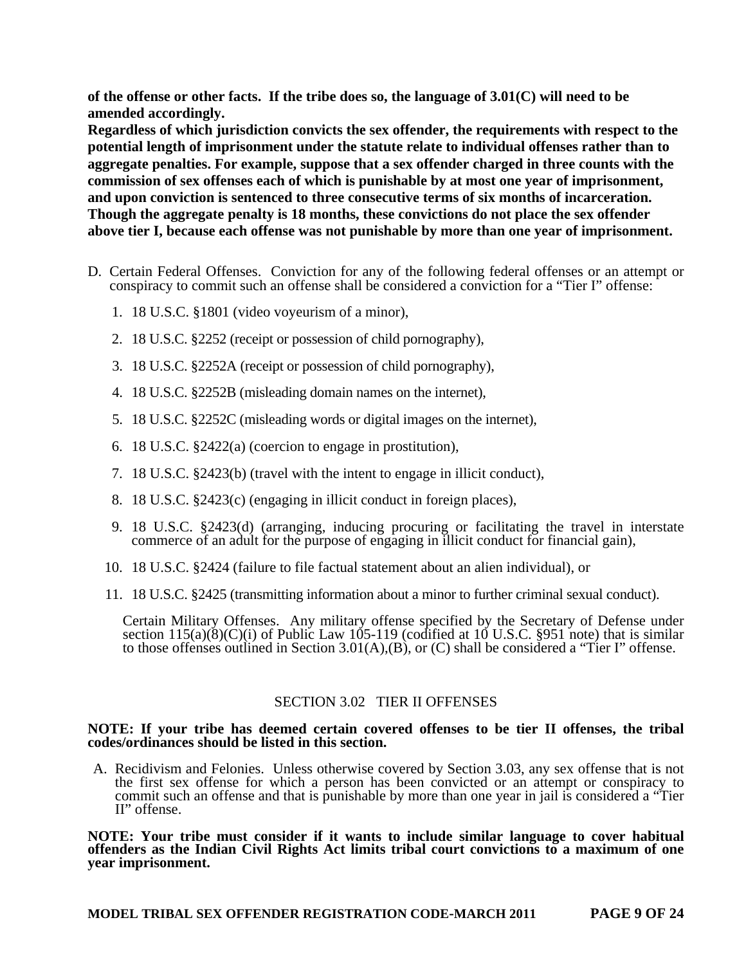**of the offense or other facts. If the tribe does so, the language of 3.01(C) will need to be amended accordingly.** 

**Regardless of which jurisdiction convicts the sex offender, the requirements with respect to the potential length of imprisonment under the statute relate to individual offenses rather than to aggregate penalties. For example, suppose that a sex offender charged in three counts with the commission of sex offenses each of which is punishable by at most one year of imprisonment, and upon conviction is sentenced to three consecutive terms of six months of incarceration. Though the aggregate penalty is 18 months, these convictions do not place the sex offender above tier I, because each offense was not punishable by more than one year of imprisonment.** 

- D. Certain Federal Offenses. Conviction for any of the following federal offenses or an attempt or conspiracy to commit such an offense shall be considered a conviction for a "Tier I" offense:
	- 1. 18 U.S.C. §1801 (video voyeurism of a minor),
	- 2. 18 U.S.C. §2252 (receipt or possession of child pornography),
	- 3. 18 U.S.C. §2252A (receipt or possession of child pornography),
	- 4. 18 U.S.C. §2252B (misleading domain names on the internet),
	- 5. 18 U.S.C. §2252C (misleading words or digital images on the internet),
	- 6. 18 U.S.C. §2422(a) (coercion to engage in prostitution),
	- 7. 18 U.S.C. §2423(b) (travel with the intent to engage in illicit conduct),
	- 8. 18 U.S.C. §2423(c) (engaging in illicit conduct in foreign places),
	- 9. 18 U.S.C. §2423(d) (arranging, inducing procuring or facilitating the travel in interstate commerce of an adult for the purpose of engaging in illicit conduct for financial gain),
	- 10. 18 U.S.C. §2424 (failure to file factual statement about an alien individual), or
	- 11. 18 U.S.C. §2425 (transmitting information about a minor to further criminal sexual conduct).

Certain Military Offenses. Any military offense specified by the Secretary of Defense under section  $115(a)(8)(C)(i)$  of Public Law 105-119 (codified at 10 U.S.C. §951 note) that is similar to those offenses outlined in Section 3.01(A), $(B)$ , or  $(C)$  shall be considered a "Tier I" offense.

## SECTION 3.02 TIER II OFFENSES

#### **NOTE: If your tribe has deemed certain covered offenses to be tier II offenses, the tribal codes/ordinances should be listed in this section.**

A. Recidivism and Felonies. Unless otherwise covered by Section 3.03, any sex offense that is not the first sex offense for which a person has been convicted or an attempt or conspiracy to commit such an offense and that is punishable by more than one year in jail is considered a "Tier II" offense.

**NOTE: Your tribe must consider if it wants to include similar language to cover habitual offenders as the Indian Civil Rights Act limits tribal court convictions to a maximum of one year imprisonment.**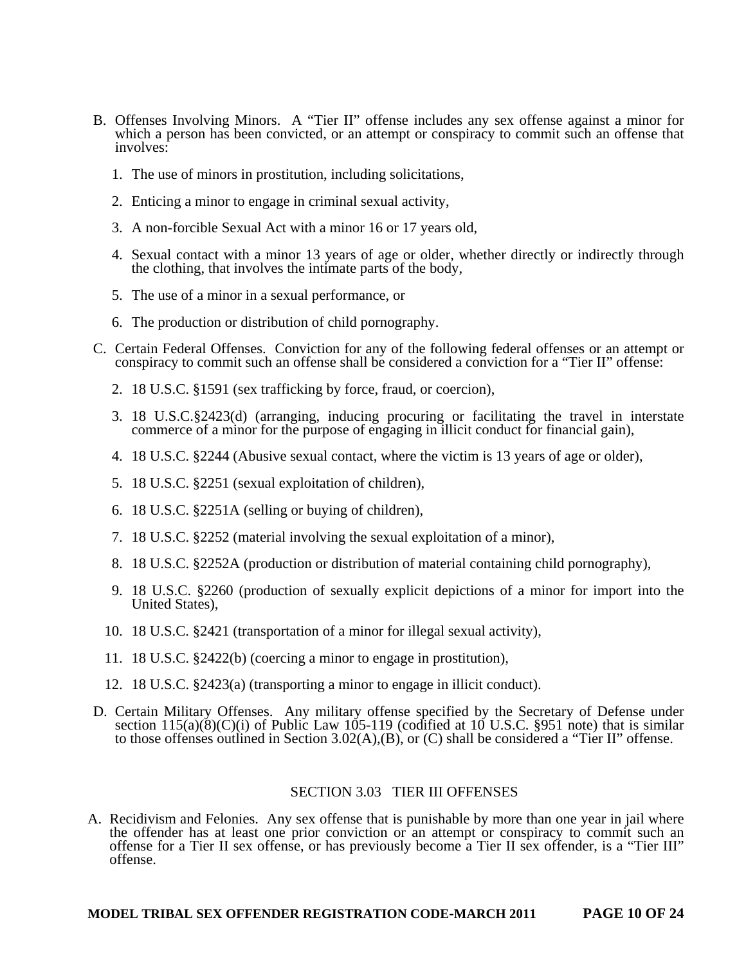- B. Offenses Involving Minors. A "Tier II" offense includes any sex offense against a minor for which a person has been convicted, or an attempt or conspiracy to commit such an offense that involves:
	- 1. The use of minors in prostitution, including solicitations,
	- 2. Enticing a minor to engage in criminal sexual activity,
	- 3. A non-forcible Sexual Act with a minor 16 or 17 years old,
	- 4. Sexual contact with a minor 13 years of age or older, whether directly or indirectly through the clothing, that involves the intimate parts of the body,
	- 5. The use of a minor in a sexual performance, or
	- 6. The production or distribution of child pornography.
- C. Certain Federal Offenses. Conviction for any of the following federal offenses or an attempt or conspiracy to commit such an offense shall be considered a conviction for a "Tier II" offense:
	- 2. 18 U.S.C. §1591 (sex trafficking by force, fraud, or coercion),
	- 3. 18 U.S.C.§2423(d) (arranging, inducing procuring or facilitating the travel in interstate commerce of a minor for the purpose of engaging in illicit conduct for financial gain),
	- 4. 18 U.S.C. §2244 (Abusive sexual contact, where the victim is 13 years of age or older),
	- 5. 18 U.S.C. §2251 (sexual exploitation of children),
	- 6. 18 U.S.C. §2251A (selling or buying of children),
	- 7. 18 U.S.C. §2252 (material involving the sexual exploitation of a minor),
	- 8. 18 U.S.C. §2252A (production or distribution of material containing child pornography),
	- 9. 18 U.S.C. §2260 (production of sexually explicit depictions of a minor for import into the United States),
	- 10. 18 U.S.C. §2421 (transportation of a minor for illegal sexual activity),
	- 11. 18 U.S.C. §2422(b) (coercing a minor to engage in prostitution),
	- 12. 18 U.S.C. §2423(a) (transporting a minor to engage in illicit conduct).
- D. Certain Military Offenses. Any military offense specified by the Secretary of Defense under section  $115(a)(8)(C)(i)$  of Public Law 105-119 (codified at 10 U.S.C. §951 note) that is similar to those offenses outlined in Section 3.02(A),(B), or (C) shall be considered a "Tier II" offense.

## SECTION 3.03 TIER III OFFENSES

A. Recidivism and Felonies. Any sex offense that is punishable by more than one year in jail where the offender has at least one prior conviction or an attempt or conspiracy to commit such an offense for a Tier II sex offense, or has previously become a Tier II sex offender, is a "Tier III" offense.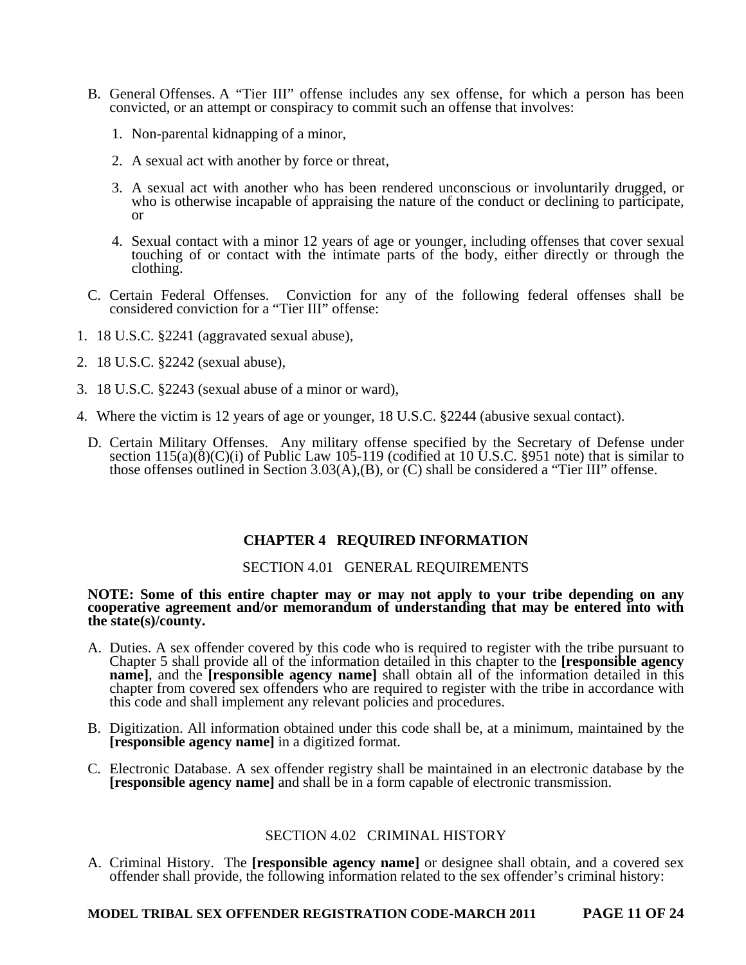- B. General Offenses. A "Tier III" offense includes any sex offense, for which a person has been convicted, or an attempt or conspiracy to commit such an offense that involves:
	- 1. Non-parental kidnapping of a minor,
	- 2. A sexual act with another by force or threat,
	- 3. A sexual act with another who has been rendered unconscious or involuntarily drugged, or who is otherwise incapable of appraising the nature of the conduct or declining to participate, or
	- 4. Sexual contact with a minor 12 years of age or younger, including offenses that cover sexual touching of or contact with the intimate parts of the body, either directly or through the clothing.
- C. Certain Federal Offenses. Conviction for any of the following federal offenses shall be considered conviction for a "Tier III" offense:
- 1. 18 U.S.C. §2241 (aggravated sexual abuse),
- 2. 18 U.S.C. §2242 (sexual abuse),
- 3. 18 U.S.C. §2243 (sexual abuse of a minor or ward),
- 4. Where the victim is 12 years of age or younger, 18 U.S.C. §2244 (abusive sexual contact).
	- D. Certain Military Offenses. Any military offense specified by the Secretary of Defense under section  $115(a)(8)(C)(i)$  of Public Law 105-119 (codified at 10 U.S.C. §951 note) that is similar to those offenses outlined in Section 3.03(A),(B), or (C) shall be considered a "Tier III" offense.

#### **CHAPTER 4 REQUIRED INFORMATION**

#### SECTION 4.01 GENERAL REQUIREMENTS

#### **NOTE: Some of this entire chapter may or may not apply to your tribe depending on any cooperative agreement and/or memorandum of understanding that may be entered into with the state(s)/county.**

- A. Duties. A sex offender covered by this code who is required to register with the tribe pursuant to Chapter 5 shall provide all of the information detailed in this chapter to the **[responsible agency name]**, and the **[responsible agency name]** shall obtain all of the information detailed in this chapter from covered sex offenders who are required to register with the tribe in accordance with this code and shall implement any relevant policies and procedures.
- B. Digitization. All information obtained under this code shall be, at a minimum, maintained by the **[responsible agency name]** in a digitized format.
- C. Electronic Database. A sex offender registry shall be maintained in an electronic database by the **[responsible agency name]** and shall be in a form capable of electronic transmission.

#### SECTION 4.02 CRIMINAL HISTORY

A. Criminal History. The **[responsible agency name]** or designee shall obtain, and a covered sex offender shall provide, the following information related to the sex offender's criminal history:

#### **MODEL TRIBAL SEX OFFENDER REGISTRATION CODE-MARCH 2011 PAGE 11 OF 24**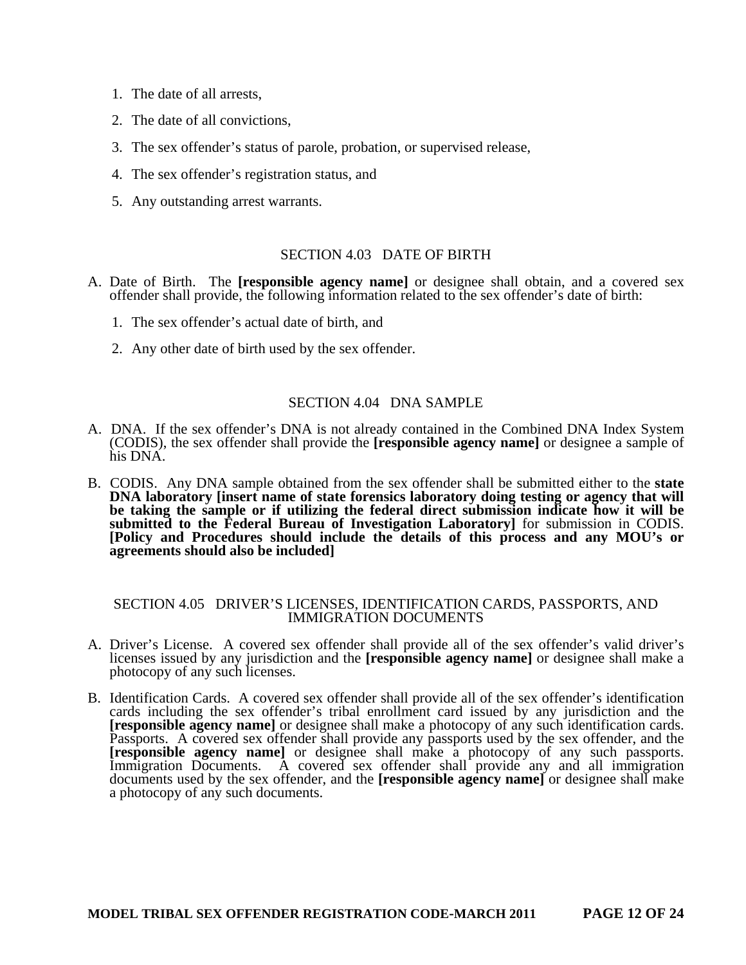- 1. The date of all arrests,
- 2. The date of all convictions,
- 3. The sex offender's status of parole, probation, or supervised release,
- 4. The sex offender's registration status, and
- 5. Any outstanding arrest warrants.

## SECTION 4.03 DATE OF BIRTH

- A. Date of Birth. The **[responsible agency name]** or designee shall obtain, and a covered sex offender shall provide, the following information related to the sex offender's date of birth:
	- 1. The sex offender's actual date of birth, and
	- 2. Any other date of birth used by the sex offender.

#### SECTION 4.04 DNA SAMPLE

- A. DNA. If the sex offender's DNA is not already contained in the Combined DNA Index System (CODIS), the sex offender shall provide the **[responsible agency name]** or designee a sample of his DNA.
- B. CODIS. Any DNA sample obtained from the sex offender shall be submitted either to the **state DNA laboratory** [insert name of state forensics laboratory doing testing or agency that will **be taking the sample or if utilizing the federal direct submission indicate how it will be submitted to the Federal Bureau of Investigation Laboratory]** for submission in CODIS. **[Policy and Procedures should include the details of this process and any MOU's or agreements should also be included]**

#### SECTION 4.05 DRIVER'S LICENSES, IDENTIFICATION CARDS, PASSPORTS, AND IMMIGRATION DOCUMENTS

- A. Driver's License. A covered sex offender shall provide all of the sex offender's valid driver's licenses issued by any jurisdiction and the **[responsible agency name]** or designee shall make a photocopy of any such licenses.
- B. Identification Cards. A covered sex offender shall provide all of the sex offender's identification cards including the sex offender's tribal enrollment card issued by any jurisdiction and the **[responsible agency name]** or designee shall make a photocopy of any such identification cards. Passports. A covered sex offender shall provide any passports used by the sex offender, and the **[responsible agency name]** or designee shall make a photocopy of any such passports. Immigration Documents. A covered sex offender shall provide any and all immigration documents used by the sex offender, and the **[responsible agency name]** or designee shall make a photocopy of any such documents.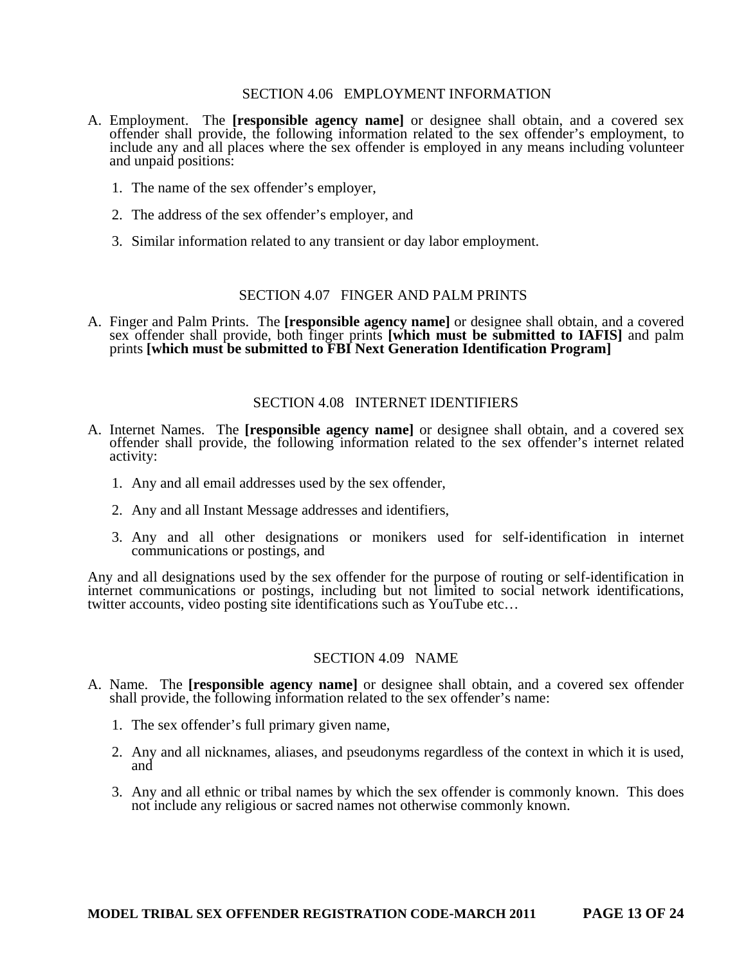#### SECTION 4.06 EMPLOYMENT INFORMATION

- A. Employment. The **[responsible agency name]** or designee shall obtain, and a covered sex offender shall provide, the following information related to the sex offender's employment, to include any and all places where the sex offender is employed in any means including volunteer and unpaid positions:
	- 1. The name of the sex offender's employer,
	- 2. The address of the sex offender's employer, and
	- 3. Similar information related to any transient or day labor employment.

## SECTION 4.07 FINGER AND PALM PRINTS

A. Finger and Palm Prints. The **[responsible agency name]** or designee shall obtain, and a covered sex offender shall provide, both finger prints **[which must be submitted to IAFIS]** and palm prints **[which must be submitted to FBI Next Generation Identification Program]**

#### SECTION 4.08 INTERNET IDENTIFIERS

- A. Internet Names. The **[responsible agency name]** or designee shall obtain, and a covered sex offender shall provide, the following information related to the sex offender's internet related activity:
	- 1. Any and all email addresses used by the sex offender,
	- 2. Any and all Instant Message addresses and identifiers,
	- 3. Any and all other designations or monikers used for self-identification in internet communications or postings, and

Any and all designations used by the sex offender for the purpose of routing or self-identification in internet communications or postings, including but not limited to social network identifications, twitter accounts, video posting site identifications such as YouTube etc…

#### SECTION 4.09 NAME

- A. Name. The **[responsible agency name]** or designee shall obtain, and a covered sex offender shall provide, the following information related to the sex offender's name:
	- 1. The sex offender's full primary given name,
	- 2. Any and all nicknames, aliases, and pseudonyms regardless of the context in which it is used, and
	- 3. Any and all ethnic or tribal names by which the sex offender is commonly known. This does not include any religious or sacred names not otherwise commonly known.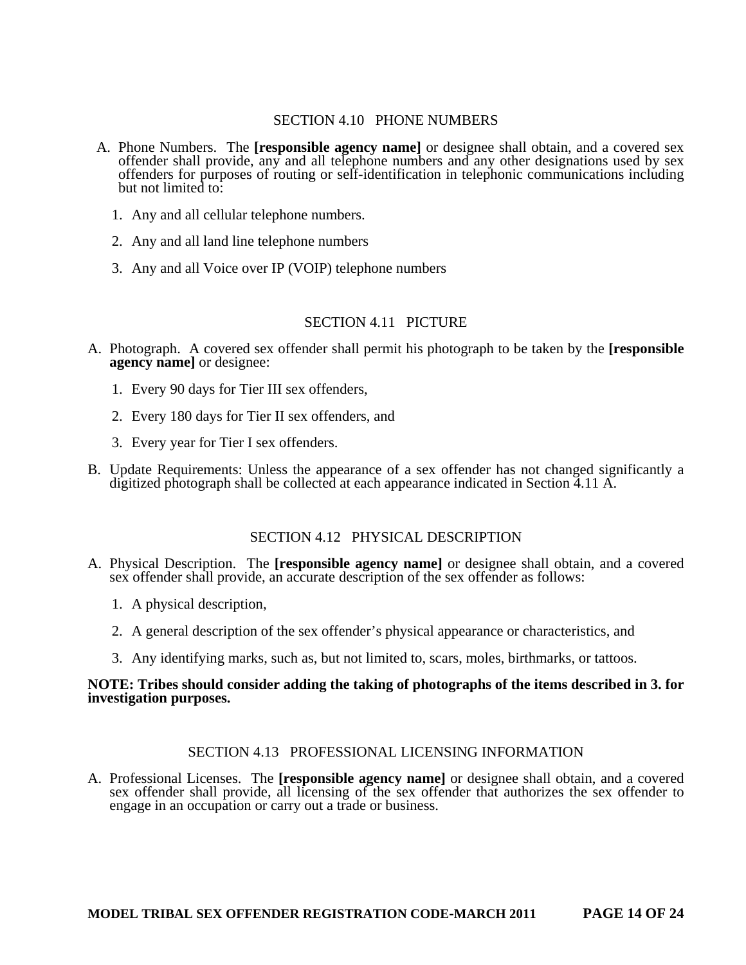## SECTION 4.10 PHONE NUMBERS

- A. Phone Numbers. The **[responsible agency name]** or designee shall obtain, and a covered sex offender shall provide, any and all telephone numbers and any other designations used by sex offenders for purposes of routing or self-identification in telephonic communications including but not limited to:
	- 1. Any and all cellular telephone numbers.
	- 2. Any and all land line telephone numbers
	- 3. Any and all Voice over IP (VOIP) telephone numbers

#### SECTION 4.11 PICTURE

- A. Photograph. A covered sex offender shall permit his photograph to be taken by the **[responsible agency name]** or designee:
	- 1. Every 90 days for Tier III sex offenders,
	- 2. Every 180 days for Tier II sex offenders, and
	- 3. Every year for Tier I sex offenders.
- B. Update Requirements: Unless the appearance of a sex offender has not changed significantly a digitized photograph shall be collected at each appearance indicated in Section 4.11 A.

#### SECTION 4.12 PHYSICAL DESCRIPTION

- A. Physical Description. The **[responsible agency name]** or designee shall obtain, and a covered sex offender shall provide, an accurate description of the sex offender as follows:
	- 1. A physical description,
	- 2. A general description of the sex offender's physical appearance or characteristics, and
	- 3. Any identifying marks, such as, but not limited to, scars, moles, birthmarks, or tattoos.

#### **NOTE: Tribes should consider adding the taking of photographs of the items described in 3. for investigation purposes.**

## SECTION 4.13 PROFESSIONAL LICENSING INFORMATION

A. Professional Licenses. The **[responsible agency name]** or designee shall obtain, and a covered sex offender shall provide, all licensing of the sex offender that authorizes the sex offender to engage in an occupation or carry out a trade or business.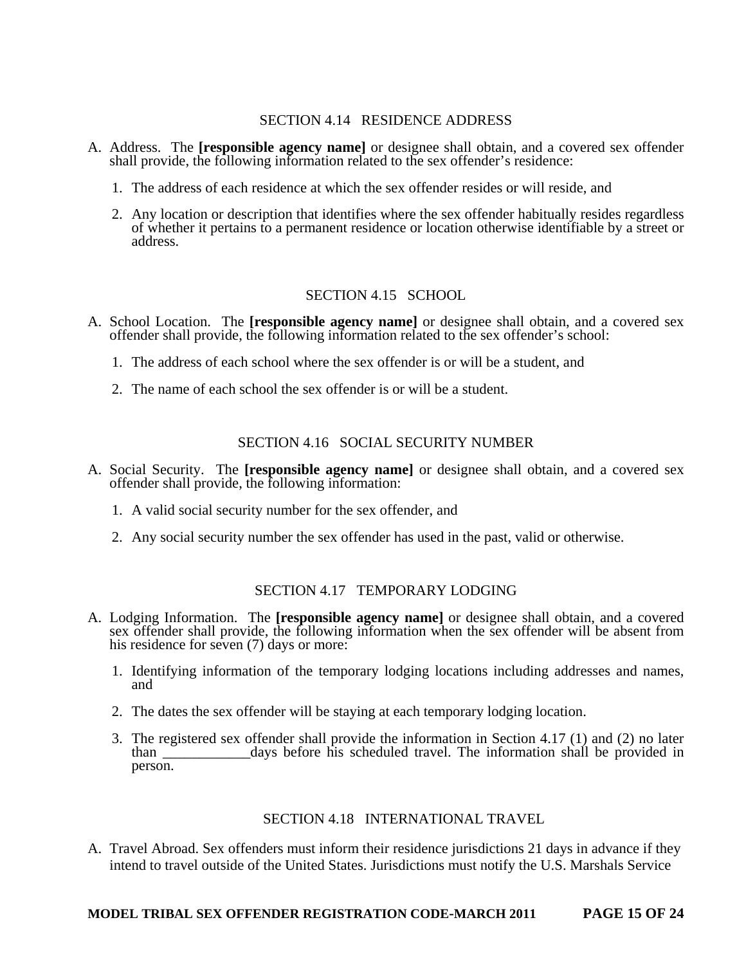## SECTION 4.14 RESIDENCE ADDRESS

- A. Address. The **[responsible agency name]** or designee shall obtain, and a covered sex offender shall provide, the following information related to the sex offender's residence:
	- 1. The address of each residence at which the sex offender resides or will reside, and
	- 2. Any location or description that identifies where the sex offender habitually resides regardless of whether it pertains to a permanent residence or location otherwise identifiable by a street or address.

## SECTION 4.15 SCHOOL

- A. School Location. The **[responsible agency name]** or designee shall obtain, and a covered sex offender shall provide, the following information related to the sex offender's school:
	- 1. The address of each school where the sex offender is or will be a student, and
	- 2. The name of each school the sex offender is or will be a student.

## SECTION 4.16 SOCIAL SECURITY NUMBER

- A. Social Security. The **[responsible agency name]** or designee shall obtain, and a covered sex offender shall provide, the following information:
	- 1. A valid social security number for the sex offender, and
	- 2. Any social security number the sex offender has used in the past, valid or otherwise.

## SECTION 4.17 TEMPORARY LODGING

- A. Lodging Information. The **[responsible agency name]** or designee shall obtain, and a covered sex offender shall provide, the following information when the sex offender will be absent from his residence for seven (7) days or more:
	- 1. Identifying information of the temporary lodging locations including addresses and names, and
	- 2. The dates the sex offender will be staying at each temporary lodging location.
	- 3. The registered sex offender shall provide the information in Section 4.17 (1) and (2) no later than days before his scheduled travel. The information shall be provided in days before his scheduled travel. The information shall be provided in person.

## SECTION 4.18 INTERNATIONAL TRAVEL

A. Travel Abroad. Sex offenders must inform their residence jurisdictions 21 days in advance if they intend to travel outside of the United States. Jurisdictions must notify the U.S. Marshals Service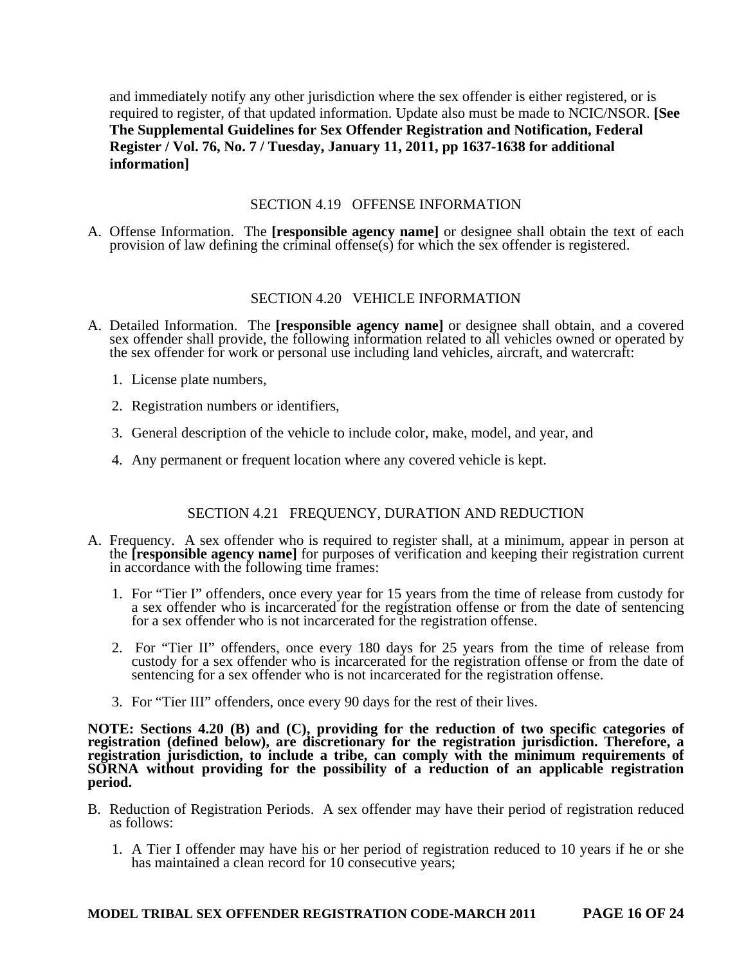and immediately notify any other jurisdiction where the sex offender is either registered, or is required to register, of that updated information. Update also must be made to NCIC/NSOR. **[See The Supplemental Guidelines for Sex Offender Registration and Notification, Federal Register / Vol. 76, No. 7 / Tuesday, January 11, 2011, pp 1637-1638 for additional information]** 

## SECTION 4.19 OFFENSE INFORMATION

A. Offense Information. The **[responsible agency name]** or designee shall obtain the text of each provision of law defining the criminal offense(s) for which the sex offender is registered.

## SECTION 4.20 VEHICLE INFORMATION

- A. Detailed Information. The **[responsible agency name]** or designee shall obtain, and a covered sex offender shall provide, the following information related to all vehicles owned or operated by the sex offender for work or personal use including land vehicles, aircraft, and watercraft:
	- 1. License plate numbers,
	- 2. Registration numbers or identifiers,
	- 3. General description of the vehicle to include color, make, model, and year, and
	- 4. Any permanent or frequent location where any covered vehicle is kept.

## SECTION 4.21 FREQUENCY, DURATION AND REDUCTION

- A. Frequency. A sex offender who is required to register shall, at a minimum, appear in person at the **[responsible agency name]** for purposes of verification and keeping their registration current in accordance with the following time frames:
	- 1. For "Tier I" offenders, once every year for 15 years from the time of release from custody for a sex offender who is incarcerated for the registration offense or from the date of sentencing for a sex offender who is not incarcerated for the registration offense.
	- 2. For "Tier II" offenders, once every 180 days for 25 years from the time of release from custody for a sex offender who is incarcerated for the registration offense or from the date of sentencing for a sex offender who is not incarcerated for the registration offense.
	- 3. For "Tier III" offenders, once every 90 days for the rest of their lives.

**NOTE: Sections 4.20 (B) and (C), providing for the reduction of two specific categories of registration (defined below), are discretionary for the registration jurisdiction. Therefore, a registration jurisdiction, to include a tribe, can comply with the minimum requirements of SORNA without providing for the possibility of a reduction of an applicable registration period.** 

- B. Reduction of Registration Periods. A sex offender may have their period of registration reduced as follows:
	- 1. A Tier I offender may have his or her period of registration reduced to 10 years if he or she has maintained a clean record for 10 consecutive years;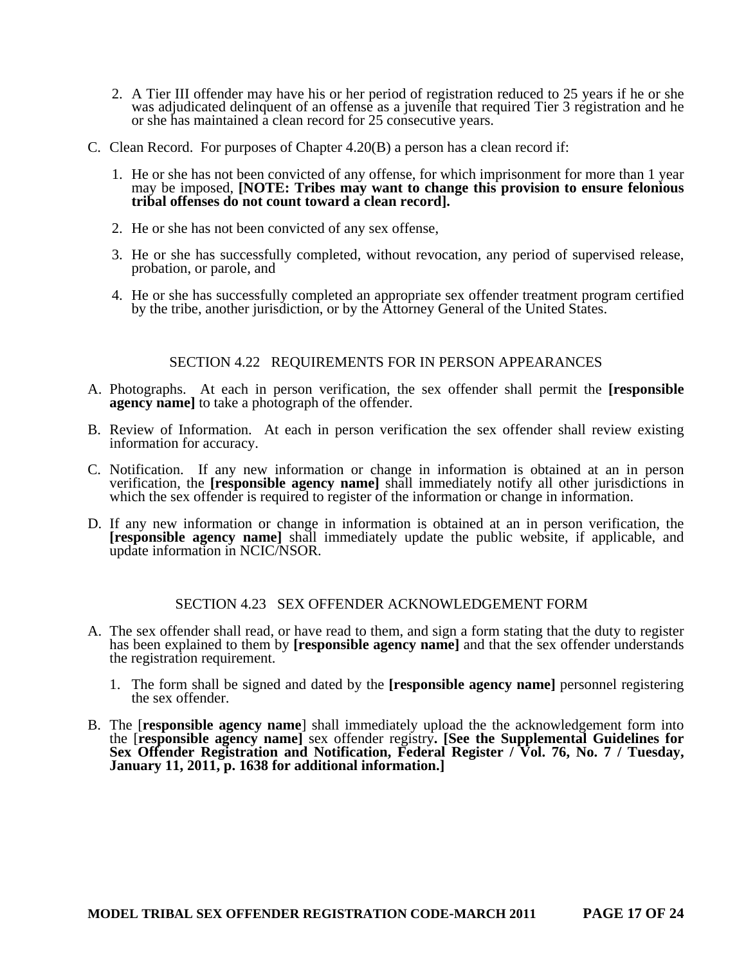- 2. A Tier III offender may have his or her period of registration reduced to 25 years if he or she was adjudicated delinquent of an offense as a juvenile that required Tier 3 registration and he or she has maintained a clean record for 25 consecutive years.
- C. Clean Record. For purposes of Chapter 4.20(B) a person has a clean record if:
	- 1. He or she has not been convicted of any offense, for which imprisonment for more than 1 year may be imposed, **[NOTE: Tribes may want to change this provision to ensure felonious tribal offenses do not count toward a clean record].**
	- 2. He or she has not been convicted of any sex offense,
	- 3. He or she has successfully completed, without revocation, any period of supervised release, probation, or parole, and
	- 4. He or she has successfully completed an appropriate sex offender treatment program certified by the tribe, another jurisdiction, or by the Attorney General of the United States.

#### SECTION 4.22 REQUIREMENTS FOR IN PERSON APPEARANCES

- A. Photographs. At each in person verification, the sex offender shall permit the **[responsible agency name]** to take a photograph of the offender.
- B. Review of Information. At each in person verification the sex offender shall review existing information for accuracy.
- C. Notification. If any new information or change in information is obtained at an in person verification, the **[responsible agency name]** shall immediately notify all other jurisdictions in which the sex offender is required to register of the information or change in information.
- D. If any new information or change in information is obtained at an in person verification, the **[responsible agency name]** shall immediately update the public website, if applicable, and update information in NCIC/NSOR.

#### SECTION 4.23 SEX OFFENDER ACKNOWLEDGEMENT FORM

- A. The sex offender shall read, or have read to them, and sign a form stating that the duty to register has been explained to them by **[responsible agency name]** and that the sex offender understands the registration requirement.
	- 1. The form shall be signed and dated by the **[responsible agency name]** personnel registering the sex offender.
- B. The [**responsible agency name**] shall immediately upload the the acknowledgement form into the [**responsible agency name]** sex offender registry**. [See the Supplemental Guidelines for Sex Offender Registration and Notification, Federal Register / Vol. 76, No. 7 / Tuesday, January 11, 2011, p. 1638 for additional information.]**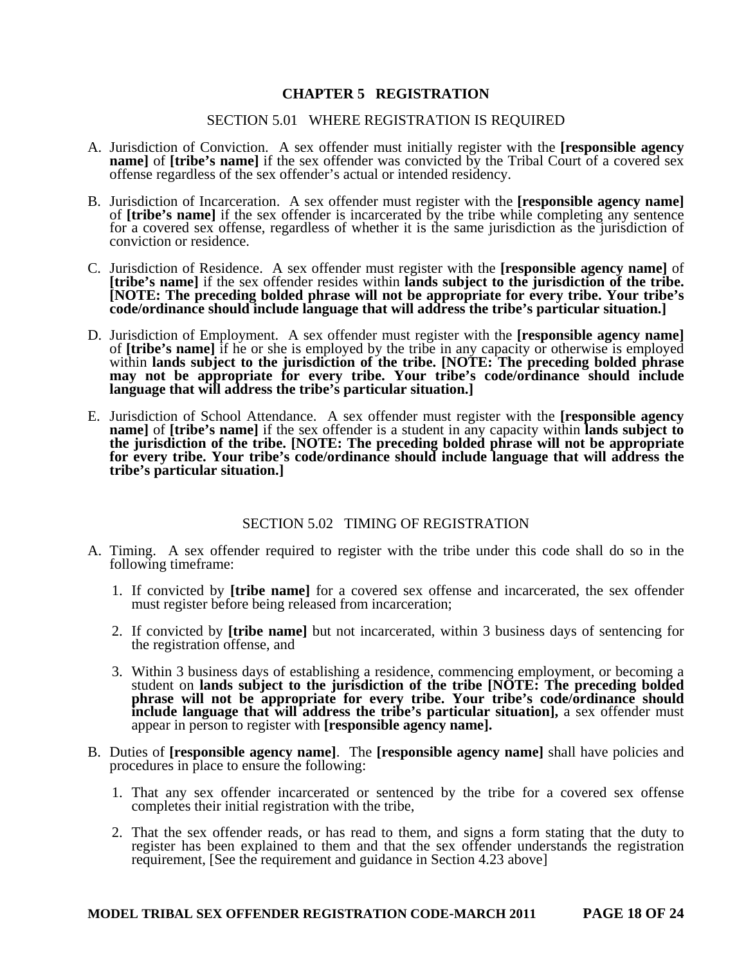## **CHAPTER 5 REGISTRATION**

#### SECTION 5.01 WHERE REGISTRATION IS REQUIRED

- A. Jurisdiction of Conviction. A sex offender must initially register with the **[responsible agency name]** of **[tribe's name]** if the sex offender was convicted by the Tribal Court of a covered sex offense regardless of the sex offender's actual or intended residency.
- B. Jurisdiction of Incarceration. A sex offender must register with the **[responsible agency name]** of **[tribe's name]** if the sex offender is incarcerated by the tribe while completing any sentence for a covered sex offense, regardless of whether it is the same jurisdiction as the jurisdiction of conviction or residence.
- C. Jurisdiction of Residence. A sex offender must register with the **[responsible agency name]** of **[tribe's name]** if the sex offender resides within **lands subject to the jurisdiction of the tribe. [NOTE: The preceding bolded phrase will not be appropriate for every tribe. Your tribe's code/ordinance should include language that will address the tribe's particular situation.]**
- D. Jurisdiction of Employment. A sex offender must register with the **[responsible agency name]** of **[tribe's name]** if he or she is employed by the tribe in any capacity or otherwise is employed within **lands** subject to the jurisdiction of the tribe. [NOTE: The preceding bolded phrase **may not be appropriate for every tribe. Your tribe's code/ordinance should include language that will address the tribe's particular situation.]**
- E. Jurisdiction of School Attendance. A sex offender must register with the **[responsible agency name]** of **[tribe's name]** if the sex offender is a student in any capacity within **lands subject to the jurisdiction of the tribe. [NOTE: The preceding bolded phrase will not be appropriate for every tribe. Your tribe's code/ordinance should include language that will address the tribe's particular situation.]**

#### SECTION 5.02 TIMING OF REGISTRATION

- A. Timing. A sex offender required to register with the tribe under this code shall do so in the following timeframe:
	- 1. If convicted by **[tribe name]** for a covered sex offense and incarcerated, the sex offender must register before being released from incarceration;
	- 2. If convicted by **[tribe name]** but not incarcerated, within 3 business days of sentencing for the registration offense, and
	- 3. Within 3 business days of establishing a residence, commencing employment, or becoming a student on **lands subject to the jurisdiction of the tribe [NOTE: The preceding bolded phrase will not be appropriate for every tribe. Your tribe's code/ordinance should include language that will address the tribe's particular situation],** a sex offender must appear in person to register with **[responsible agency name].**
- B. Duties of **[responsible agency name]**. The **[responsible agency name]** shall have policies and procedures in place to ensure the following:
	- 1. That any sex offender incarcerated or sentenced by the tribe for a covered sex offense completes their initial registration with the tribe,
	- 2. That the sex offender reads, or has read to them, and signs a form stating that the duty to register has been explained to them and that the sex offender understands the registration requirement, [See the requirement and guidance in Section 4.23 above]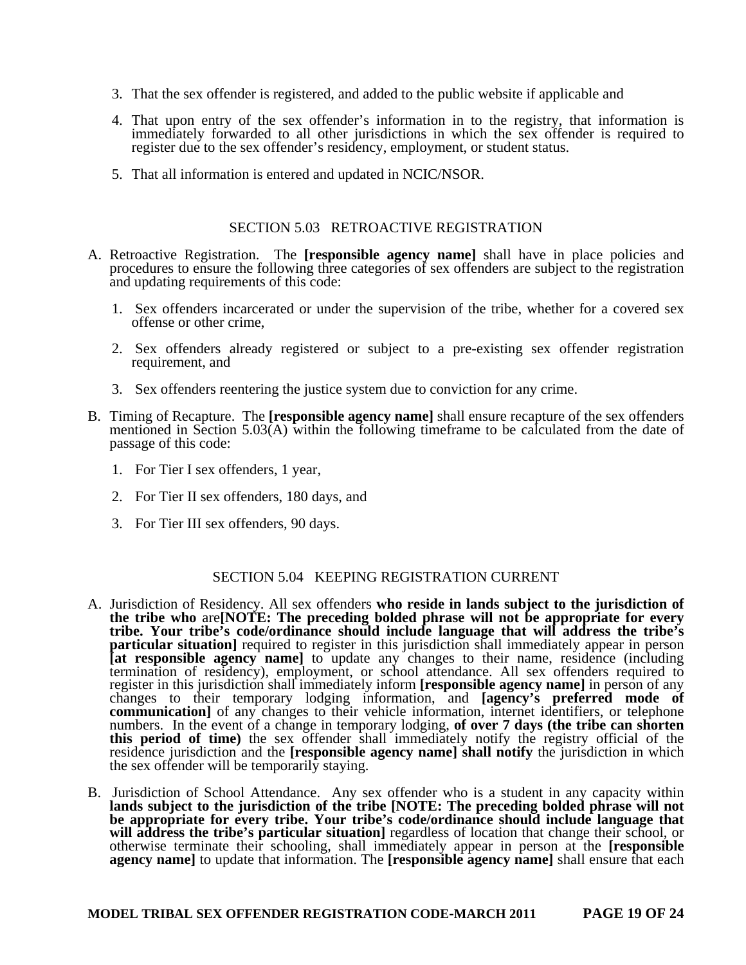- 3. That the sex offender is registered, and added to the public website if applicable and
- 4. That upon entry of the sex offender's information in to the registry, that information is immediately forwarded to all other jurisdictions in which the sex offender is required to register due to the sex offender's residency, employment, or student status.
- 5. That all information is entered and updated in NCIC/NSOR.

#### SECTION 5.03 RETROACTIVE REGISTRATION

- A. Retroactive Registration. The **[responsible agency name]** shall have in place policies and procedures to ensure the following three categories of sex offenders are subject to the registration and updating requirements of this code:
	- 1. Sex offenders incarcerated or under the supervision of the tribe, whether for a covered sex offense or other crime,
	- 2. Sex offenders already registered or subject to a pre-existing sex offender registration requirement, and
	- 3. Sex offenders reentering the justice system due to conviction for any crime.
- B. Timing of Recapture. The **[responsible agency name]** shall ensure recapture of the sex offenders mentioned in Section 5.03(A) within the following timeframe to be calculated from the date of passage of this code:
	- 1. For Tier I sex offenders, 1 year,
	- 2. For Tier II sex offenders, 180 days, and
	- 3. For Tier III sex offenders, 90 days.

#### SECTION 5.04 KEEPING REGISTRATION CURRENT

- A. Jurisdiction of Residency. All sex offenders **who reside in lands subject to the jurisdiction of the tribe who** are**[NOTE: The preceding bolded phrase will not be appropriate for every tribe. Your tribe's code/ordinance should include language that will address the tribe's particular situation]** required to register in this jurisdiction shall immediately appear in person **[at responsible agency name]** to update any changes to their name, residence (including termination of residency), employment, or school attendance. All sex offenders required to register in this jurisdiction shall immediately inform **[responsible agency name]** in person of any changes to their temporary lodging information, and **[agency's preferred mode of communication]** of any changes to their vehicle information, internet identifiers, or telephone numbers. In the event of a change in temporary lodging, **of over 7 days (the tribe can shorten this period of time)** the sex offender shall immediately notify the registry official of the residence jurisdiction and the **[responsible agency name] shall notify** the jurisdiction in which the sex offender will be temporarily staying.
- B. Jurisdiction of School Attendance. Any sex offender who is a student in any capacity within lands subject to the jurisdiction of the tribe [NOTE: The preceding bolded phrase will not **be appropriate for every tribe. Your tribe's code/ordinance should include language that will address the tribe's particular situation]** regardless of location that change their school, or otherwise terminate their schooling, shall immediately appear in person at the **[responsible agency name]** to update that information. The **[responsible agency name]** shall ensure that each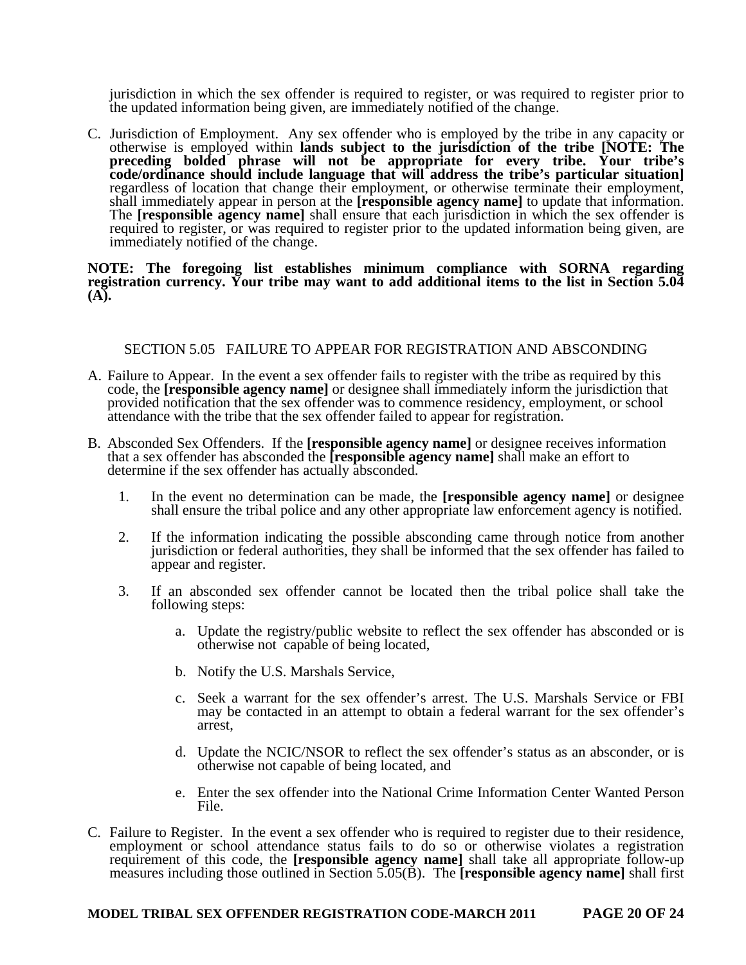jurisdiction in which the sex offender is required to register, or was required to register prior to the updated information being given, are immediately notified of the change.

C. Jurisdiction of Employment. Any sex offender who is employed by the tribe in any capacity or otherwise is employed within **lands subject to the jurisdiction of the tribe [NOTE: The preceding bolded phrase will not be appropriate for every tribe. Your tribe's code/ordinance should include language that will address the tribe's particular situation]** regardless of location that change their employment, or otherwise terminate their employment, shall immediately appear in person at the **[responsible agency name]** to update that information. The **[responsible agency name]** shall ensure that each jurisdiction in which the sex offender is required to register, or was required to register prior to the updated information being given, are immediately notified of the change.

#### **NOTE: The foregoing list establishes minimum compliance with SORNA regarding registration currency. Your tribe may want to add additional items to the list in Section 5.04 (A).**

## SECTION 5.05 FAILURE TO APPEAR FOR REGISTRATION AND ABSCONDING

- A. Failure to Appear. In the event a sex offender fails to register with the tribe as required by this code, the **[responsible agency name]** or designee shall immediately inform the jurisdiction that provided notification that the sex offender was to commence residency, employment, or school attendance with the tribe that the sex offender failed to appear for registration.
- B. Absconded Sex Offenders. If the **[responsible agency name]** or designee receives information that a sex offender has absconded the **[responsible agency name]** shall make an effort to determine if the sex offender has actually absconded.
	- 1. In the event no determination can be made, the **[responsible agency name]** or designee shall ensure the tribal police and any other appropriate law enforcement agency is notified.
	- 2. If the information indicating the possible absconding came through notice from another jurisdiction or federal authorities, they shall be informed that the sex offender has failed to appear and register.
	- 3. If an absconded sex offender cannot be located then the tribal police shall take the following steps:
		- a. Update the registry/public website to reflect the sex offender has absconded or is otherwise not capable of being located,
		- b. Notify the U.S. Marshals Service,
		- c. Seek a warrant for the sex offender's arrest. The U.S. Marshals Service or FBI may be contacted in an attempt to obtain a federal warrant for the sex offender's arrest,
		- d. Update the NCIC/NSOR to reflect the sex offender's status as an absconder, or is otherwise not capable of being located, and
		- e. Enter the sex offender into the National Crime Information Center Wanted Person File.
- C. Failure to Register. In the event a sex offender who is required to register due to their residence, employment or school attendance status fails to do so or otherwise violates a registration requirement of this code, the **[responsible agency name]** shall take all appropriate follow-up measures including those outlined in Section 5.05(B). The **[responsible agency name]** shall first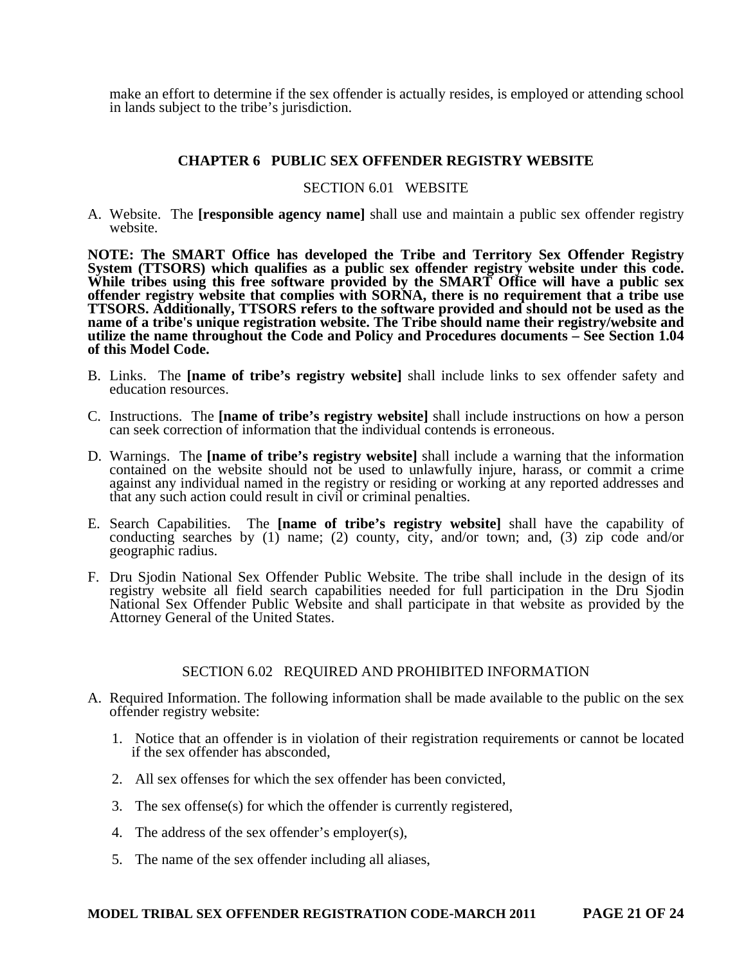make an effort to determine if the sex offender is actually resides, is employed or attending school in lands subject to the tribe's jurisdiction.

#### **CHAPTER 6 PUBLIC SEX OFFENDER REGISTRY WEBSITE**

#### SECTION 6.01 WEBSITE

A. Website. The **[responsible agency name]** shall use and maintain a public sex offender registry website.

**NOTE: The SMART Office has developed the Tribe and Territory Sex Offender Registry**  System (TTSORS) which qualifies as a public sex offender registry website under this code. **While tribes using this free software provided by the SMART Office will have a public sex offender registry website that complies with SORNA, there is no requirement that a tribe use TTSORS. Additionally, TTSORS refers to the software provided and should not be used as the name of a tribe's unique registration website. The Tribe should name their registry/website and utilize the name throughout the Code and Policy and Procedures documents – See Section 1.04 of this Model Code.** 

- B. Links. The **[name of tribe's registry website]** shall include links to sex offender safety and education resources.
- C. Instructions. The **[name of tribe's registry website]** shall include instructions on how a person can seek correction of information that the individual contends is erroneous.
- D. Warnings. The **[name of tribe's registry website]** shall include a warning that the information contained on the website should not be used to unlawfully injure, harass, or commit a crime against any individual named in the registry or residing or working at any reported addresses and that any such action could result in civil or criminal penalties.
- E. Search Capabilities. The **[name of tribe's registry website]** shall have the capability of conducting searches by (1) name; (2) county, city, and/or town; and, (3) zip code and/or geographic radius.
- F. Dru Sjodin National Sex Offender Public Website. The tribe shall include in the design of its registry website all field search capabilities needed for full participation in the Dru Sjodin National Sex Offender Public Website and shall participate in that website as provided by the Attorney General of the United States.

#### SECTION 6.02 REQUIRED AND PROHIBITED INFORMATION

- A. Required Information. The following information shall be made available to the public on the sex offender registry website:
	- 1. Notice that an offender is in violation of their registration requirements or cannot be located if the sex offender has absconded,
	- 2. All sex offenses for which the sex offender has been convicted,
	- 3. The sex offense(s) for which the offender is currently registered,
	- 4. The address of the sex offender's employer(s),
	- 5. The name of the sex offender including all aliases,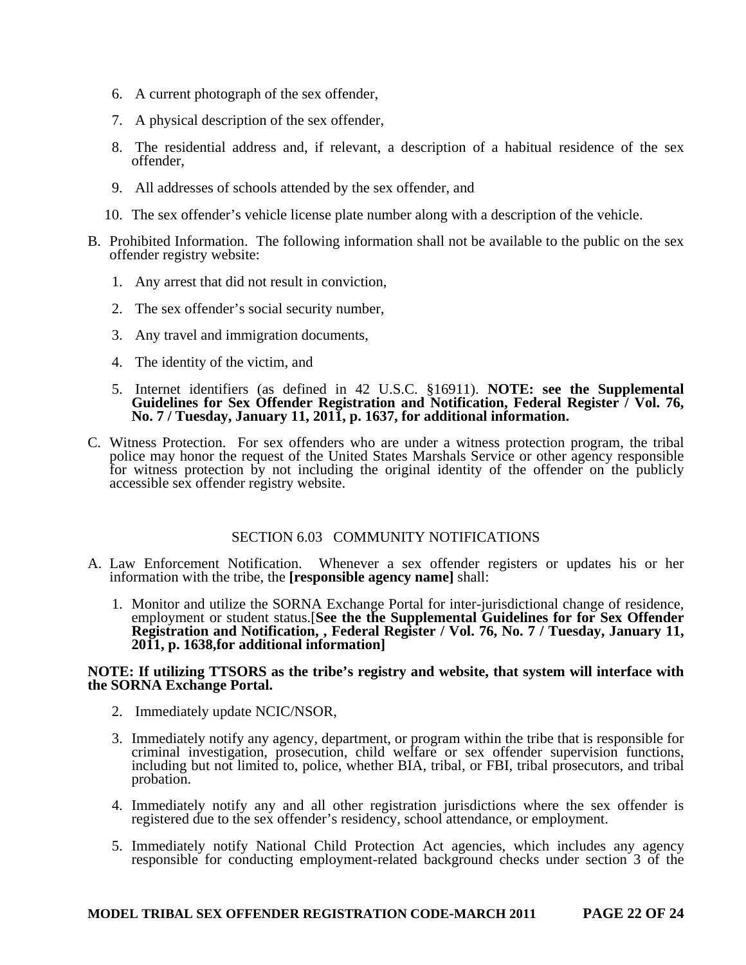- 6. A current photograph of the sex offender,
- 7. A physical description of the sex offender,
- 8. The residential address and, if relevant, a description of a habitual residence of the sex offender,
- 9. All addresses of schools attended by the sex offender, and
- 10. The sex offender's vehicle license plate number along with a description of the vehicle.
- B. Prohibited Information. The following information shall not be available to the public on the sex offender registry website:
	- 1. Any arrest that did not result in conviction,
	- 2. The sex offender's social security number,
	- 3. Any travel and immigration documents,
	- 4. The identity of the victim, and
	- 5. Internet identifiers (as defined in 42 U.S.C. §16911). **NOTE: see the Supplemental Guidelines for Sex Offender Registration and Notification, Federal Register / Vol. 76, No. 7 / Tuesday, January 11, 2011, p. 1637, for additional information.**
- C. Witness Protection. For sex offenders who are under a witness protection program, the tribal police may honor the request of the United States Marshals Service or other agency responsible for witness protection by not including the original identity of the offender on the publicly accessible sex offender registry website.

#### SECTION 6.03 COMMUNITY NOTIFICATIONS

- A. Law Enforcement Notification. Whenever a sex offender registers or updates his or her information with the tribe, the **[responsible agency name]** shall:
	- 1. Monitor and utilize the SORNA Exchange Portal for inter-jurisdictional change of residence, employment or student status.[**See the the Supplemental Guidelines for for Sex Offender Registration and Notification, , Federal Register / Vol. 76, No. 7 / Tuesday, January 11, 2011, p. 1638,for additional information]**

#### **NOTE: If utilizing TTSORS as the tribe's registry and website, that system will interface with the SORNA Exchange Portal.**

- 2. Immediately update NCIC/NSOR,
- 3. Immediately notify any agency, department, or program within the tribe that is responsible for criminal investigation, prosecution, child welfare or sex offender supervision functions, including but not limited to, police, whether BIA, tribal, or FBI, tribal prosecutors, and tribal probation.
- 4. Immediately notify any and all other registration jurisdictions where the sex offender is registered due to the sex offender's residency, school attendance, or employment.
- 5. Immediately notify National Child Protection Act agencies, which includes any agency responsible for conducting employment-related background checks under section 3 of the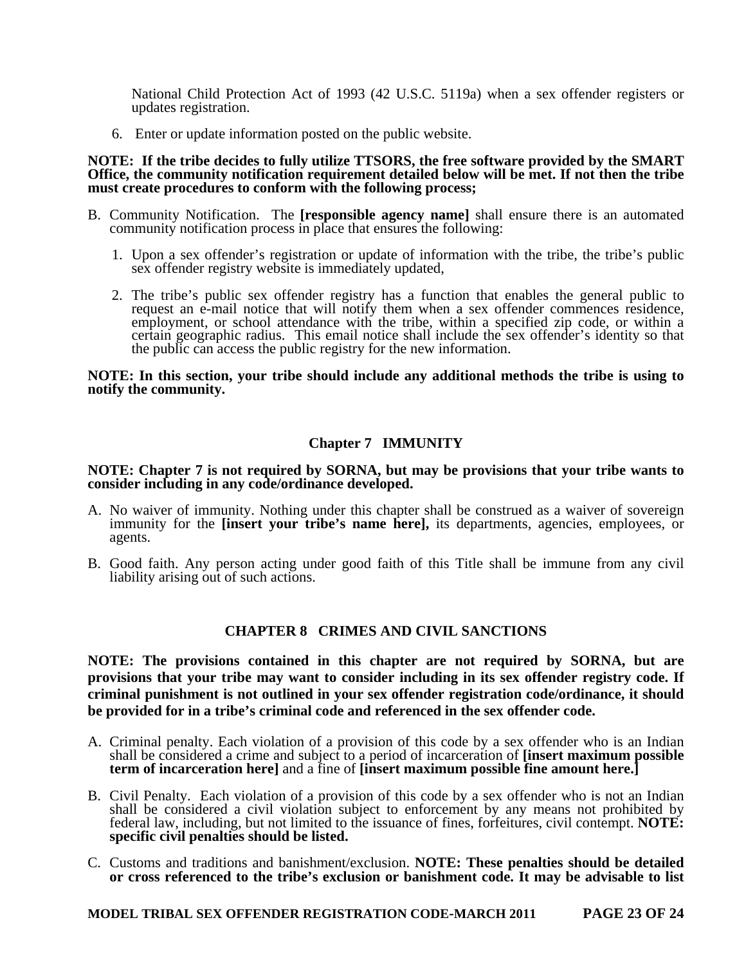National Child Protection Act of 1993 (42 U.S.C. 5119a) when a sex offender registers or updates registration.

6. Enter or update information posted on the public website.

#### **NOTE: If the tribe decides to fully utilize TTSORS, the free software provided by the SMART Office, the community notification requirement detailed below will be met. If not then the tribe must create procedures to conform with the following process;**

- B. Community Notification. The **[responsible agency name]** shall ensure there is an automated community notification process in place that ensures the following:
	- 1. Upon a sex offender's registration or update of information with the tribe, the tribe's public sex offender registry website is immediately updated,
	- 2. The tribe's public sex offender registry has a function that enables the general public to request an e-mail notice that will notify them when a sex offender commences residence, employment, or school attendance with the tribe, within a specified zip code, or within a certain geographic radius. This email notice shall include the sex offender's identity so that the public can access the public registry for the new information.

#### **NOTE: In this section, your tribe should include any additional methods the tribe is using to notify the community.**

## **Chapter 7 IMMUNITY**

#### **NOTE: Chapter 7 is not required by SORNA, but may be provisions that your tribe wants to consider including in any code/ordinance developed.**

- A. No waiver of immunity. Nothing under this chapter shall be construed as a waiver of sovereign immunity for the *[insert your tribe's name here]*, its departments, agencies, employees, or agents.
- B. Good faith. Any person acting under good faith of this Title shall be immune from any civil liability arising out of such actions.

#### **CHAPTER 8 CRIMES AND CIVIL SANCTIONS**

**NOTE: The provisions contained in this chapter are not required by SORNA, but are provisions that your tribe may want to consider including in its sex offender registry code. If criminal punishment is not outlined in your sex offender registration code/ordinance, it should be provided for in a tribe's criminal code and referenced in the sex offender code.** 

- A. Criminal penalty. Each violation of a provision of this code by a sex offender who is an Indian shall be considered a crime and subject to a period of incarceration of **[insert maximum possible term of incarceration here]** and a fine of **[insert maximum possible fine amount here.]**
- B. Civil Penalty. Each violation of a provision of this code by a sex offender who is not an Indian shall be considered a civil violation subject to enforcement by any means not prohibited by federal law, including, but not limited to the issuance of fines, forfeitures, civil contempt. **NOTE: specific civil penalties should be listed.**
- C. Customs and traditions and banishment/exclusion. **NOTE: These penalties should be detailed or cross referenced to the tribe's exclusion or banishment code. It may be advisable to list**